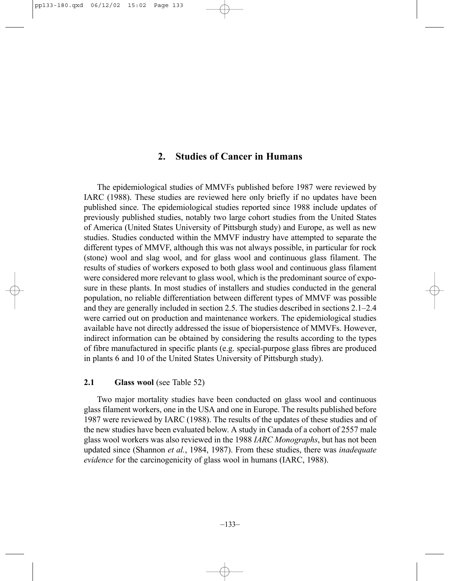# **2. Studies of Cancer in Humans**

The epidemiological studies of MMVFs published before 1987 were reviewed by IARC (1988). These studies are reviewed here only briefly if no updates have been published since. The epidemiological studies reported since 1988 include updates of previously published studies, notably two large cohort studies from the United States of America (United States University of Pittsburgh study) and Europe, as well as new studies. Studies conducted within the MMVF industry have attempted to separate the different types of MMVF, although this was not always possible, in particular for rock (stone) wool and slag wool, and for glass wool and continuous glass filament. The results of studies of workers exposed to both glass wool and continuous glass filament were considered more relevant to glass wool, which is the predominant source of exposure in these plants. In most studies of installers and studies conducted in the general population, no reliable differentiation between different types of MMVF was possible and they are generally included in section 2.5. The studies described in sections 2.1–2.4 were carried out on production and maintenance workers. The epidemiological studies available have not directly addressed the issue of biopersistence of MMVFs. However, indirect information can be obtained by considering the results according to the types of fibre manufactured in specific plants (e.g. special-purpose glass fibres are produced in plants 6 and 10 of the United States University of Pittsburgh study).

# **2.1 Glass wool** (see Table 52)

Two major mortality studies have been conducted on glass wool and continuous glass filament workers, one in the USA and one in Europe. The results published before 1987 were reviewed by IARC (1988). The results of the updates of these studies and of the new studies have been evaluated below. A study in Canada of a cohort of 2557 male glass wool workers was also reviewed in the 1988 *IARC Monographs*, but has not been updated since (Shannon *et al.*, 1984, 1987). From these studies, there was *inadequate evidence* for the carcinogenicity of glass wool in humans (IARC, 1988).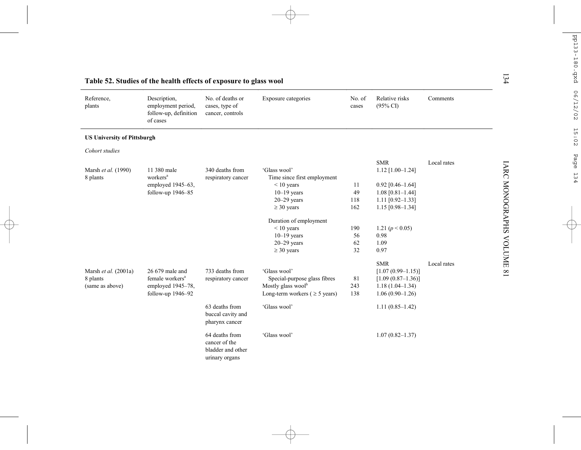| Reference,<br>plants               | Description,<br>employment period,<br>follow-up, definition<br>of cases | No. of deaths or<br>cases, type of<br>cancer, controls                 | Exposure categories                 | No. of<br>cases | Relative risks<br>$(95\% \text{ CI})$ | Comments    |
|------------------------------------|-------------------------------------------------------------------------|------------------------------------------------------------------------|-------------------------------------|-----------------|---------------------------------------|-------------|
| <b>US University of Pittsburgh</b> |                                                                         |                                                                        |                                     |                 |                                       |             |
| Cohort studies                     |                                                                         |                                                                        |                                     |                 |                                       |             |
|                                    |                                                                         |                                                                        |                                     |                 | <b>SMR</b>                            | Local rates |
| Marsh et al. (1990)                | 11 380 male                                                             | 340 deaths from                                                        | 'Glass wool'                        |                 | $1.12$ [1.00-1.24]                    |             |
| 8 plants                           | workers <sup>a</sup>                                                    | respiratory cancer                                                     | Time since first employment         |                 |                                       |             |
|                                    | employed 1945–63,                                                       |                                                                        | $< 10$ years                        | 11              | $0.92$ [0.46-1.64]                    |             |
|                                    | follow-up 1946-85                                                       |                                                                        | $10-19$ years                       | 49              | $1.08$ [0.81-1.44]                    |             |
|                                    |                                                                         |                                                                        | $20 - 29$ years                     | 118             | $1.11$ [0.92-1.33]                    |             |
|                                    |                                                                         |                                                                        | $\geq$ 30 years                     | 162             | $1.15$ [0.98-1.34]                    |             |
|                                    |                                                                         |                                                                        | Duration of employment              |                 |                                       |             |
|                                    |                                                                         |                                                                        | $< 10$ years                        | 190             | 1.21 ( $p < 0.05$ )                   |             |
|                                    |                                                                         |                                                                        | $10-19$ years                       | 56              | 0.98                                  |             |
|                                    |                                                                         |                                                                        | $20 - 29$ years                     | 62              | 1.09                                  |             |
|                                    |                                                                         |                                                                        | $\geq$ 30 years                     | 32              | 0.97                                  |             |
|                                    |                                                                         |                                                                        |                                     |                 | <b>SMR</b>                            | Local rates |
| Marsh et al. (2001a)               | 26 679 male and                                                         | 733 deaths from                                                        | 'Glass wool'                        |                 | $[1.07(0.99-1.15)]$                   |             |
| 8 plants                           | female workers <sup>a</sup>                                             | respiratory cancer                                                     | Special-purpose glass fibres        | 81              | $[1.09 (0.87 - 1.36)]$                |             |
| (same as above)                    | employed 1945-78,                                                       |                                                                        | Mostly glass wool <sup>b</sup>      | 243             | $1.18(1.04 - 1.34)$                   |             |
|                                    | follow-up 1946-92                                                       |                                                                        | Long-term workers ( $\geq$ 5 years) | 138             | $1.06(0.90-1.26)$                     |             |
|                                    |                                                                         | 63 deaths from<br>buccal cavity and<br>pharynx cancer                  | 'Glass wool'                        |                 | $1.11(0.85-1.42)$                     |             |
|                                    |                                                                         | 64 deaths from<br>cancer of the<br>bladder and other<br>urinary organs | 'Glass wool'                        |                 | $1.07(0.82 - 1.37)$                   |             |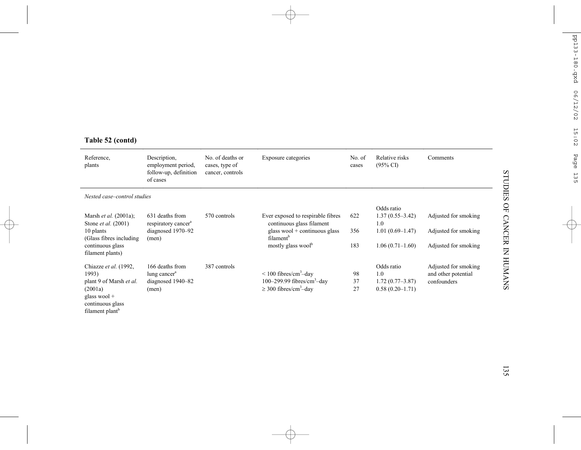# **Table 52 (contd)**

| Reference,<br>plants                                                         | Description,<br>employment period,<br>follow-up, definition<br>of cases | No. of deaths or<br>cases, type of<br>cancer, controls | Exposure categories                                            | No. of<br>cases | Relative risks<br>$(95\% \text{ CI})$ | Comments             |
|------------------------------------------------------------------------------|-------------------------------------------------------------------------|--------------------------------------------------------|----------------------------------------------------------------|-----------------|---------------------------------------|----------------------|
| Nested case–control studies                                                  |                                                                         |                                                        |                                                                |                 |                                       |                      |
|                                                                              |                                                                         |                                                        |                                                                |                 | Odds ratio                            |                      |
| Marsh <i>et al.</i> (2001a);<br>Stone <i>et al.</i> (2001)                   | 631 deaths from<br>respiratory cancer <sup>a</sup>                      | 570 controls                                           | Ever exposed to respirable fibres<br>continuous glass filament | 622             | $1.37(0.55 - 3.42)$<br>1.0            | Adjusted for smoking |
| 10 plants<br>(Glass fibres including)                                        | diagnosed 1970–92<br>(men)                                              |                                                        | glass wool + continuous glass<br>filament <sup>b</sup>         | 356             | $1.01(0.69-1.47)$                     | Adjusted for smoking |
| continuous glass<br>filament plants)                                         |                                                                         |                                                        | mostly glass wool <sup>b</sup>                                 | 183             | $1.06(0.71-1.60)$                     | Adjusted for smoking |
| Chiazze et al. (1992,                                                        | 166 deaths from                                                         | 387 controls                                           |                                                                |                 | Odds ratio                            | Adjusted for smoking |
| 1993)                                                                        | lung cancer <sup>a</sup>                                                |                                                        | $\leq 100$ fibres/cm <sup>3</sup> -day                         | 98              | 1.0                                   | and other potential  |
| plant 9 of Marsh et al.                                                      | diagnosed 1940–82                                                       |                                                        | 100–299.99 fibres/cm <sup>3</sup> –day                         | 37              | $1.72(0.77-3.87)$                     | confounders          |
| (2001a)<br>glass wool $+$<br>continuous glass<br>filament plant <sup>b</sup> | (men)                                                                   |                                                        | $\geq$ 300 fibres/cm <sup>3</sup> -day                         | 27              | $0.58(0.20-1.71)$                     |                      |

135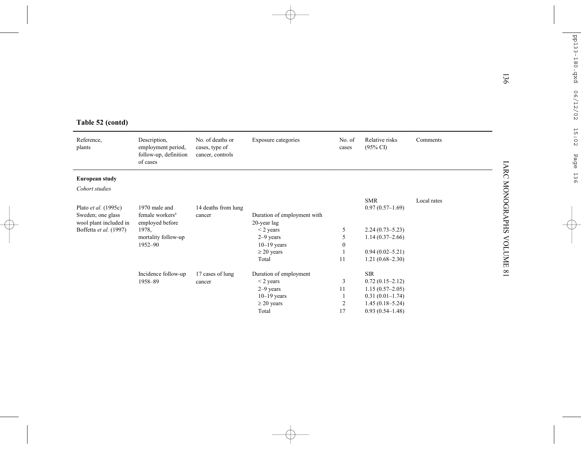|                        |                                                                         |                                                        |                                  |                  |                                       |             | 136                    |
|------------------------|-------------------------------------------------------------------------|--------------------------------------------------------|----------------------------------|------------------|---------------------------------------|-------------|------------------------|
| Table 52 (contd)       |                                                                         |                                                        |                                  |                  |                                       |             |                        |
| Reference,<br>plants   | Description,<br>employment period,<br>follow-up, definition<br>of cases | No. of deaths or<br>cases, type of<br>cancer, controls | Exposure categories              | No. of<br>cases  | Relative risks<br>$(95\% \text{ CI})$ | Comments    | <b>IARC MONOGRAPHS</b> |
| <b>European study</b>  |                                                                         |                                                        |                                  |                  |                                       |             |                        |
| Cohort studies         |                                                                         |                                                        |                                  |                  |                                       |             |                        |
|                        |                                                                         |                                                        |                                  |                  | <b>SMR</b>                            | Local rates |                        |
| Plato et al. (1995c)   | 1970 male and                                                           | 14 deaths from lung                                    |                                  |                  | $0.97(0.57-1.69)$                     |             |                        |
| Sweden; one glass      | female workers <sup>a</sup>                                             | cancer                                                 | Duration of employment with      |                  |                                       |             |                        |
| wool plant included in | employed before                                                         |                                                        | 20-year lag                      |                  |                                       |             |                        |
| Boffetta et al. (1997) | 1978.                                                                   |                                                        | $<$ 2 years                      | 5                | $2.24(0.73 - 5.23)$                   |             |                        |
|                        | mortality follow-up<br>1952-90                                          |                                                        | $2-9$ years                      | 5                | $1.14(0.37-2.66)$                     |             |                        |
|                        |                                                                         |                                                        | $10-19$ years<br>$\geq$ 20 years | $\boldsymbol{0}$ | $0.94(0.02 - 5.21)$                   |             |                        |
|                        |                                                                         |                                                        | Total                            | 11               | $1.21(0.68 - 2.30)$                   |             |                        |
|                        |                                                                         |                                                        |                                  |                  |                                       |             |                        |
|                        | Incidence follow-up                                                     | 17 cases of lung                                       | Duration of employment           |                  | <b>SIR</b>                            |             |                        |
|                        | 1958-89                                                                 | cancer                                                 | $<$ 2 years                      | 3                | $0.72(0.15-2.12)$                     |             |                        |
|                        |                                                                         |                                                        | $2-9$ years                      | 11               | $1.15(0.57-2.05)$                     |             |                        |
|                        |                                                                         |                                                        | $10-19$ years                    |                  | $0.31(0.01-1.74)$                     |             |                        |
|                        |                                                                         |                                                        | $\geq$ 20 years                  | $\overline{2}$   | $1.45(0.18 - 5.24)$                   |             |                        |
|                        |                                                                         |                                                        | Total                            | 17               | $0.93(0.54 - 1.48)$                   |             |                        |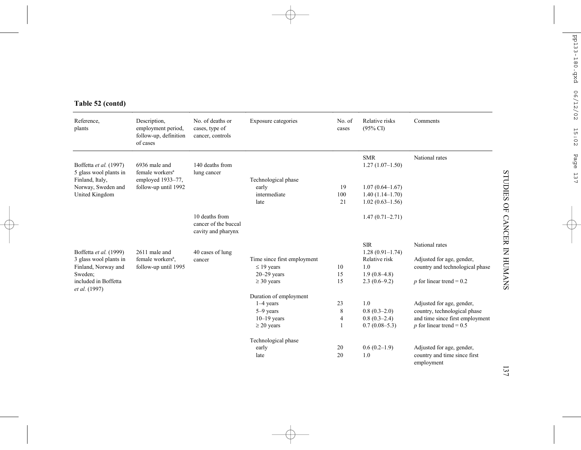# **Table 52 (contd)**

| Reference,<br>plants                                                                                        | Description,<br>employment period,<br>follow-up, definition<br>of cases                   | No. of deaths or<br>cases, type of<br>cancer, controls       | Exposure categories                                                                      | No. of<br>cases | Relative risks<br>$(95\% \text{ CI})$                                                              | Comments                                                                                                                   |
|-------------------------------------------------------------------------------------------------------------|-------------------------------------------------------------------------------------------|--------------------------------------------------------------|------------------------------------------------------------------------------------------|-----------------|----------------------------------------------------------------------------------------------------|----------------------------------------------------------------------------------------------------------------------------|
| Boffetta et al. (1997)<br>5 glass wool plants in<br>Finland, Italy,<br>Norway, Sweden and<br>United Kingdom | 6936 male and<br>female workers <sup>a</sup><br>employed 1933-77,<br>follow-up until 1992 | 140 deaths from<br>lung cancer                               | Technological phase<br>early<br>intermediate<br>late                                     | 19<br>100<br>21 | <b>SMR</b><br>$1.27(1.07-1.50)$<br>$1.07(0.64 - 1.67)$<br>$1.40(1.14-1.70)$<br>$1.02(0.63 - 1.56)$ | National rates                                                                                                             |
|                                                                                                             |                                                                                           | 10 deaths from<br>cancer of the buccal<br>cavity and pharynx |                                                                                          |                 | $1.47(0.71 - 2.71)$                                                                                |                                                                                                                            |
| Boffetta et al. (1999)<br>3 glass wool plants in<br>Finland, Norway and<br>Sweden:<br>included in Boffetta  | 2611 male and<br>female workers <sup>a</sup> ,<br>follow-up until 1995                    | 40 cases of lung<br>cancer                                   | Time since first employment<br>$\leq$ 19 years<br>$20 - 29$ years<br>$\geq$ 30 years     | 10<br>15<br>15  | <b>SIR</b><br>$1.28(0.91-1.74)$<br>Relative risk<br>1.0<br>$1.9(0.8-4.8)$<br>$2.3(0.6-9.2)$        | National rates<br>Adjusted for age, gender,<br>country and technological phase<br>$p$ for linear trend = 0.2               |
| <i>et al.</i> (1997)                                                                                        |                                                                                           |                                                              | Duration of employment<br>$1-4$ years<br>$5-9$ years<br>$10-19$ years<br>$\geq$ 20 years | 23<br>8<br>4    | 1.0<br>$0.8(0.3-2.0)$<br>$0.8(0.3-2.4)$<br>$0.7(0.08-5.3)$                                         | Adjusted for age, gender,<br>country, technological phase<br>and time since first employment<br>p for linear trend = $0.5$ |
|                                                                                                             |                                                                                           |                                                              | Technological phase<br>early<br>late                                                     | 20<br>20        | $0.6(0.2-1.9)$<br>1.0                                                                              | Adjusted for age, gender,<br>country and time since first<br>employment                                                    |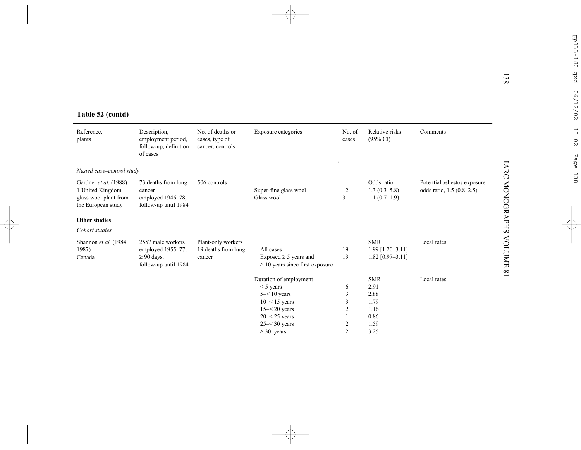|  | Table 52 (contd) |
|--|------------------|
|  |                  |

| Table 52 (contd)                                                                         |                                                                                   |                                                        |                                                                                                                                     |                            |                                                            |                                                          |
|------------------------------------------------------------------------------------------|-----------------------------------------------------------------------------------|--------------------------------------------------------|-------------------------------------------------------------------------------------------------------------------------------------|----------------------------|------------------------------------------------------------|----------------------------------------------------------|
| Reference.<br>plants                                                                     | Description,<br>employment period,<br>follow-up, definition<br>of cases           | No. of deaths or<br>cases, type of<br>cancer, controls | Exposure categories                                                                                                                 | No. of<br>cases            | Relative risks<br>$(95\% \text{ CI})$                      | Comments                                                 |
| Nested case-control study                                                                |                                                                                   |                                                        |                                                                                                                                     |                            |                                                            |                                                          |
| Gardner et al. (1988)<br>1 United Kingdom<br>glass wool plant from<br>the European study | 73 deaths from lung<br>cancer<br>employed 1946-78,<br>follow-up until 1984        | 506 controls                                           | Super-fine glass wool<br>Glass wool                                                                                                 | 2<br>31                    | Odds ratio<br>$1.3(0.3-5.8)$<br>$1.1(0.7-1.9)$             | Potential asbestos exposure<br>odds ratio, 1.5 (0.8–2.5) |
| <b>Other studies</b>                                                                     |                                                                                   |                                                        |                                                                                                                                     |                            |                                                            |                                                          |
| Cohort studies                                                                           |                                                                                   |                                                        |                                                                                                                                     |                            |                                                            |                                                          |
| Shannon et al. (1984,<br>1987)<br>Canada                                                 | 2557 male workers<br>employed 1955-77,<br>$\geq 90$ days,<br>follow-up until 1984 | Plant-only workers<br>19 deaths from lung<br>cancer    | All cases<br>Exposed $\geq$ 5 years and<br>$\geq$ 10 years since first exposure                                                     | 19<br>13                   | <b>SMR</b><br>$1.99$ [1.20-3.11]<br>$1.82$ [0.97-3.11]     | Local rates                                              |
|                                                                                          |                                                                                   |                                                        | Duration of employment<br>$<$ 5 years<br>$5 - 10$ years<br>$10 - 15$ years<br>$15 - 20$ years<br>$20 - 25$ years<br>$25 - 30$ years | 6<br>3<br>3<br>2<br>1<br>2 | <b>SMR</b><br>2.91<br>2.88<br>1.79<br>1.16<br>0.86<br>1.59 | Local rates                                              |
|                                                                                          |                                                                                   |                                                        | $\geq 30$ years                                                                                                                     | $\overline{2}$             | 3.25                                                       |                                                          |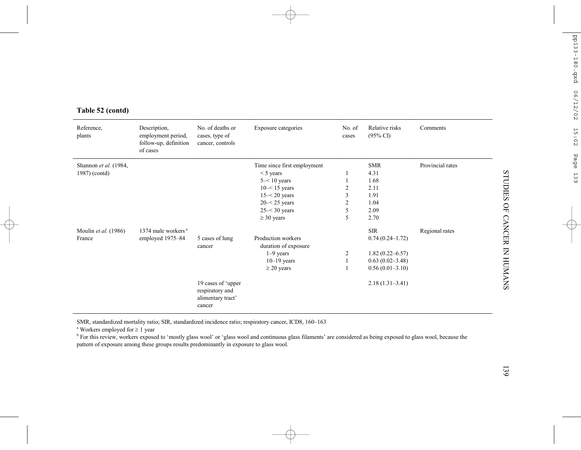| Reference,<br>plants                   | Description,<br>employment period,<br>follow-up, definition<br>of cases | No. of deaths or<br>cases, type of<br>cancer, controls               | Exposure categories                                                                                                                                         | No. of<br>cases                                 | Relative risks<br>$(95\% \text{ CI})$                                                                | Comments         |
|----------------------------------------|-------------------------------------------------------------------------|----------------------------------------------------------------------|-------------------------------------------------------------------------------------------------------------------------------------------------------------|-------------------------------------------------|------------------------------------------------------------------------------------------------------|------------------|
| Shannon et al. (1984,<br>1987) (contd) |                                                                         |                                                                      | Time since first employment<br>$<$ 5 years<br>$5 - 10$ years<br>$10 - 15$ years<br>$15 - 20$ years<br>$20 - 25$ years<br>$25 - 30$ years<br>$\geq$ 30 years | $\overline{2}$<br>3<br>$\overline{c}$<br>5<br>5 | <b>SMR</b><br>4.31<br>1.68<br>2.11<br>1.91<br>1.04<br>2.09<br>2.70                                   | Provincial rates |
| Moulin et al. (1986)<br>France         | 1374 male workers <sup>a</sup><br>employed 1975-84                      | 5 cases of lung<br>cancer                                            | Production workers<br>duration of exposure<br>$1-9$ years<br>$10-19$ years<br>$\geq$ 20 years                                                               | $\overline{c}$                                  | <b>SIR</b><br>$0.74(0.24 - 1.72)$<br>$1.82(0.22 - 6.57)$<br>$0.63(0.02 - 3.48)$<br>$0.56(0.01-3.10)$ | Regional rates   |
|                                        |                                                                         | 19 cases of 'upper<br>respiratory and<br>alimentary tract'<br>cancer |                                                                                                                                                             |                                                 | $2.18(1.31-3.41)$                                                                                    |                  |

# **Table 52 (contd)**

SMR, standardized mortality ratio; SIR, standardized incidence ratio; respiratory cancer, ICD8, 160–163

<sup>a</sup> Workers employed for  $\geq 1$  year

<sup>b</sup> For this review, workers exposed to 'mostly glass wool' or 'glass wool and continuous glass filaments' are considered as being exposed to glass wool, because the pattern of exposure among these groups results predominantly in exposure to glass wool.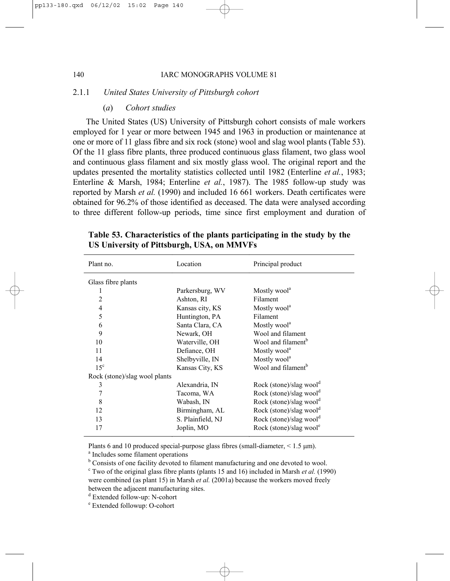# 2.1.1 *United States University of Pittsburgh cohort*

### (*a*) *Cohort studies*

The United States (US) University of Pittsburgh cohort consists of male workers employed for 1 year or more between 1945 and 1963 in production or maintenance at one or more of 11 glass fibre and six rock (stone) wool and slag wool plants (Table 53). Of the 11 glass fibre plants, three produced continuous glass filament, two glass wool and continuous glass filament and six mostly glass wool. The original report and the updates presented the mortality statistics collected until 1982 (Enterline *et al.*, 1983; Enterline & Marsh, 1984; Enterline *et al.*, 1987). The 1985 follow-up study was reported by Marsh *et al.* (1990) and included 16 661 workers. Death certificates were obtained for 96.2% of those identified as deceased. The data were analysed according to three different follow-up periods, time since first employment and duration of

| Plant no.                     | Location          | Principal product                                |
|-------------------------------|-------------------|--------------------------------------------------|
| Glass fibre plants            |                   |                                                  |
|                               | Parkersburg, WV   | Mostly wool <sup>a</sup>                         |
| $\overline{c}$                | Ashton, RI        | Filament                                         |
| $\overline{\mathcal{L}}$      | Kansas city, KS   | Mostly wool <sup>a</sup>                         |
| 5                             | Huntington, PA    | Filament                                         |
| 6                             | Santa Clara, CA   | Mostly wool <sup>a</sup>                         |
| 9                             | Newark, OH        | Wool and filament                                |
| 10                            | Waterville, OH    | Wool and filament <sup>b</sup>                   |
| 11                            | Defiance, OH      | Mostly wool <sup>a</sup>                         |
| 14                            | Shelbyville, IN   | Mostly wool <sup>a</sup>                         |
| $15^{\circ}$                  | Kansas City, KS   | Wool and filament <sup>b</sup>                   |
| Rock (stone)/slag wool plants |                   |                                                  |
| 3                             | Alexandria, IN    | Rock (stone)/slag wool <sup><math>d</math></sup> |
| 7                             | Tacoma, WA        | Rock (stone)/slag wool <sup>d</sup>              |
| 8                             | Wabash, IN        | Rock (stone)/slag wool <sup>d</sup>              |
| 12                            | Birmingham, AL    | Rock (stone)/slag wool <sup>d</sup>              |
| 13                            | S. Plainfield, NJ | Rock (stone)/slag wool <sup>d</sup>              |
| 17                            | Joplin, MO        | Rock (stone)/slag wool <sup>e</sup>              |

**Table 53. Characteristics of the plants participating in the study by the US University of Pittsburgh, USA, on MMVFs**

Plants 6 and 10 produced special-purpose glass fibres (small-diameter,  $\leq 1.5$  µm). a Includes some filament operations

<sup>b</sup> Consists of one facility devoted to filament manufacturing and one devoted to wool.

 $\textdegree$  Two of the original glass fibre plants (plants 15 and 16) included in Marsh *et al.* (1990) were combined (as plant 15) in Marsh *et al.* (2001a) because the workers moved freely between the adjacent manufacturing sites.

d Extended follow-up: N-cohort

e Extended followup: O-cohort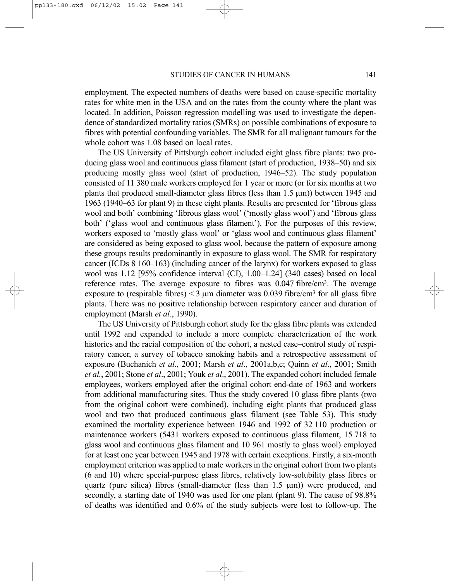employment. The expected numbers of deaths were based on cause-specific mortality rates for white men in the USA and on the rates from the county where the plant was located. In addition, Poisson regression modelling was used to investigate the dependence of standardized mortality ratios (SMRs) on possible combinations of exposure to fibres with potential confounding variables. The SMR for all malignant tumours for the whole cohort was 1.08 based on local rates.

The US University of Pittsburgh cohort included eight glass fibre plants: two producing glass wool and continuous glass filament (start of production, 1938–50) and six producing mostly glass wool (start of production, 1946–52). The study population consisted of 11 380 male workers employed for 1 year or more (or for six months at two plants that produced small-diameter glass fibres (less than 1.5 µm)) between 1945 and 1963 (1940–63 for plant 9) in these eight plants. Results are presented for 'fibrous glass wool and both' combining 'fibrous glass wool' ('mostly glass wool') and 'fibrous glass both' ('glass wool and continuous glass filament'). For the purposes of this review, workers exposed to 'mostly glass wool' or 'glass wool and continuous glass filament' are considered as being exposed to glass wool, because the pattern of exposure among these groups results predominantly in exposure to glass wool. The SMR for respiratory cancer (ICDs 8 160–163) (including cancer of the larynx) for workers exposed to glass wool was 1.12 [95% confidence interval (CI), 1.00–1.24] (340 cases) based on local reference rates. The average exposure to fibres was  $0.047$  fibre/cm<sup>3</sup>. The average exposure to (respirable fibres)  $\leq$  3  $\mu$ m diameter was 0.039 fibre/cm<sup>3</sup> for all glass fibre plants. There was no positive relationship between respiratory cancer and duration of employment (Marsh *et al.*, 1990).

The US University of Pittsburgh cohort study for the glass fibre plants was extended until 1992 and expanded to include a more complete characterization of the work histories and the racial composition of the cohort, a nested case–control study of respiratory cancer, a survey of tobacco smoking habits and a retrospective assessment of exposure (Buchanich *et al*., 2001; Marsh *et al*., 2001a,b,c; Quinn *et al*., 2001; Smith *et al.*, 2001; Stone *et al*., 2001; Youk *et al*., 2001). The expanded cohort included female employees, workers employed after the original cohort end-date of 1963 and workers from additional manufacturing sites. Thus the study covered 10 glass fibre plants (two from the original cohort were combined), including eight plants that produced glass wool and two that produced continuous glass filament (see Table 53). This study examined the mortality experience between 1946 and 1992 of 32 110 production or maintenance workers (5431 workers exposed to continuous glass filament, 15 718 to glass wool and continuous glass filament and 10 961 mostly to glass wool) employed for at least one year between 1945 and 1978 with certain exceptions. Firstly, a six-month employment criterion was applied to male workers in the original cohort from two plants (6 and 10) where special-purpose glass fibres, relatively low-solubility glass fibres or quartz (pure silica) fibres (small-diameter (less than  $1.5 \mu m$ )) were produced, and secondly, a starting date of 1940 was used for one plant (plant 9). The cause of 98.8% of deaths was identified and 0.6% of the study subjects were lost to follow-up. The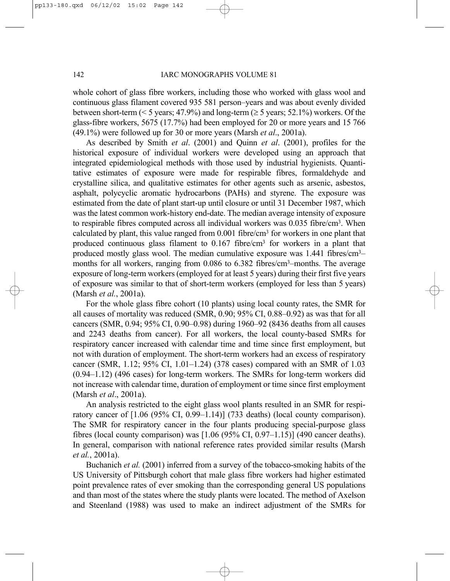whole cohort of glass fibre workers, including those who worked with glass wool and continuous glass filament covered 935 581 person–years and was about evenly divided between short-term ( $\leq 5$  years; 47.9%) and long-term ( $\geq 5$  years; 52.1%) workers. Of the glass-fibre workers, 5675 (17.7%) had been employed for 20 or more years and 15 766 (49.1%) were followed up for 30 or more years (Marsh *et al*., 2001a).

As described by Smith *et al*. (2001) and Quinn *et al*. (2001), profiles for the historical exposure of individual workers were developed using an approach that integrated epidemiological methods with those used by industrial hygienists. Quantitative estimates of exposure were made for respirable fibres, formaldehyde and crystalline silica, and qualitative estimates for other agents such as arsenic, asbestos, asphalt, polycyclic aromatic hydrocarbons (PAHs) and styrene. The exposure was estimated from the date of plant start-up until closure or until 31 December 1987, which was the latest common work-history end-date. The median average intensity of exposure to respirable fibres computed across all individual workers was 0.035 fibre/cm3. When calculated by plant, this value ranged from  $0.001$  fibre/cm<sup>3</sup> for workers in one plant that produced continuous glass filament to 0.167 fibre/cm3 for workers in a plant that produced mostly glass wool. The median cumulative exposure was 1.441 fibres/cm3– months for all workers, ranging from 0.086 to 6.382 fibres/cm<sup>3</sup>-months. The average exposure of long-term workers (employed for at least 5 years) during their first five years of exposure was similar to that of short-term workers (employed for less than 5 years) (Marsh *et al.*, 2001a).

For the whole glass fibre cohort (10 plants) using local county rates, the SMR for all causes of mortality was reduced (SMR, 0.90; 95% CI, 0.88–0.92) as was that for all cancers (SMR, 0.94; 95% CI, 0.90–0.98) during 1960–92 (8436 deaths from all causes and 2243 deaths from cancer). For all workers, the local county-based SMRs for respiratory cancer increased with calendar time and time since first employment, but not with duration of employment. The short-term workers had an excess of respiratory cancer (SMR, 1.12; 95% CI, 1.01–1.24) (378 cases) compared with an SMR of 1.03 (0.94–1.12) (496 cases) for long-term workers. The SMRs for long-term workers did not increase with calendar time, duration of employment or time since first employment (Marsh *et al*., 2001a).

An analysis restricted to the eight glass wool plants resulted in an SMR for respiratory cancer of [1.06 (95% CI, 0.99–1.14)] (733 deaths) (local county comparison). The SMR for respiratory cancer in the four plants producing special-purpose glass fibres (local county comparison) was  $[1.06 (95\% \text{ CI}, 0.97-1.15)]$  (490 cancer deaths). In general, comparison with national reference rates provided similar results (Marsh *et al.*, 2001a).

Buchanich *et al.* (2001) inferred from a survey of the tobacco-smoking habits of the US University of Pittsburgh cohort that male glass fibre workers had higher estimated point prevalence rates of ever smoking than the corresponding general US populations and than most of the states where the study plants were located. The method of Axelson and Steenland (1988) was used to make an indirect adjustment of the SMRs for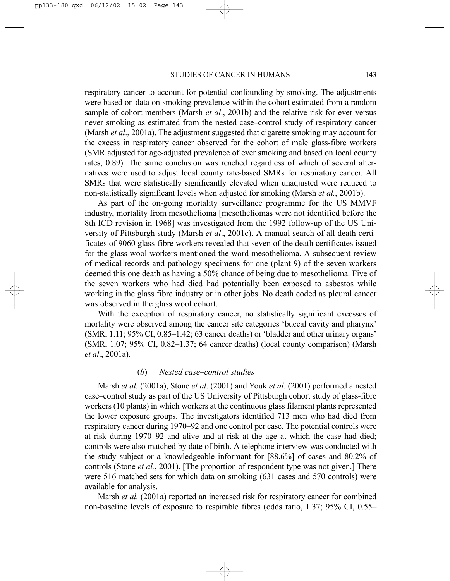respiratory cancer to account for potential confounding by smoking. The adjustments were based on data on smoking prevalence within the cohort estimated from a random sample of cohort members (Marsh *et al*., 2001b) and the relative risk for ever versus never smoking as estimated from the nested case–control study of respiratory cancer (Marsh *et al*., 2001a). The adjustment suggested that cigarette smoking may account for the excess in respiratory cancer observed for the cohort of male glass-fibre workers (SMR adjusted for age-adjusted prevalence of ever smoking and based on local county rates, 0.89). The same conclusion was reached regardless of which of several alternatives were used to adjust local county rate-based SMRs for respiratory cancer. All SMRs that were statistically significantly elevated when unadjusted were reduced to non-statistically significant levels when adjusted for smoking (Marsh *et al.*, 2001b).

As part of the on-going mortality surveillance programme for the US MMVF industry, mortality from mesothelioma [mesotheliomas were not identified before the 8th ICD revision in 1968] was investigated from the 1992 follow-up of the US University of Pittsburgh study (Marsh *et al*., 2001c). A manual search of all death certificates of 9060 glass-fibre workers revealed that seven of the death certificates issued for the glass wool workers mentioned the word mesothelioma. A subsequent review of medical records and pathology specimens for one (plant 9) of the seven workers deemed this one death as having a 50% chance of being due to mesothelioma. Five of the seven workers who had died had potentially been exposed to asbestos while working in the glass fibre industry or in other jobs. No death coded as pleural cancer was observed in the glass wool cohort.

With the exception of respiratory cancer, no statistically significant excesses of mortality were observed among the cancer site categories 'buccal cavity and pharynx' (SMR, 1.11; 95% CI, 0.85–1.42; 63 cancer deaths) or 'bladder and other urinary organs' (SMR, 1.07; 95% CI, 0.82–1.37; 64 cancer deaths) (local county comparison) (Marsh *et al*., 2001a).

# (*b*) *Nested case–control studies*

Marsh *et al.* (2001a), Stone *et al*. (2001) and Youk *et al*. (2001) performed a nested case–control study as part of the US University of Pittsburgh cohort study of glass-fibre workers (10 plants) in which workers at the continuous glass filament plants represented the lower exposure groups. The investigators identified 713 men who had died from respiratory cancer during 1970–92 and one control per case. The potential controls were at risk during 1970–92 and alive and at risk at the age at which the case had died; controls were also matched by date of birth. A telephone interview was conducted with the study subject or a knowledgeable informant for [88.6%] of cases and 80.2% of controls (Stone *et al.*, 2001). [The proportion of respondent type was not given.] There were 516 matched sets for which data on smoking (631 cases and 570 controls) were available for analysis.

Marsh *et al.* (2001a) reported an increased risk for respiratory cancer for combined non-baseline levels of exposure to respirable fibres (odds ratio, 1.37; 95% CI, 0.55–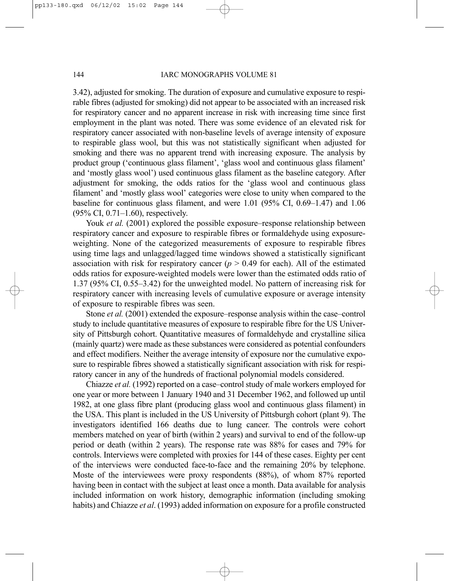3.42), adjusted for smoking. The duration of exposure and cumulative exposure to respirable fibres (adjusted for smoking) did not appear to be associated with an increased risk for respiratory cancer and no apparent increase in risk with increasing time since first employment in the plant was noted. There was some evidence of an elevated risk for respiratory cancer associated with non-baseline levels of average intensity of exposure to respirable glass wool, but this was not statistically significant when adjusted for smoking and there was no apparent trend with increasing exposure. The analysis by product group ('continuous glass filament', 'glass wool and continuous glass filament' and 'mostly glass wool') used continuous glass filament as the baseline category. After adjustment for smoking, the odds ratios for the 'glass wool and continuous glass filament' and 'mostly glass wool' categories were close to unity when compared to the baseline for continuous glass filament, and were 1.01 (95% CI, 0.69–1.47) and 1.06 (95% CI, 0.71–1.60), respectively.

Youk *et al.* (2001) explored the possible exposure–response relationship between respiratory cancer and exposure to respirable fibres or formaldehyde using exposureweighting. None of the categorized measurements of exposure to respirable fibres using time lags and unlagged/lagged time windows showed a statistically significant association with risk for respiratory cancer ( $p > 0.49$  for each). All of the estimated odds ratios for exposure-weighted models were lower than the estimated odds ratio of 1.37 (95% CI, 0.55–3.42) for the unweighted model. No pattern of increasing risk for respiratory cancer with increasing levels of cumulative exposure or average intensity of exposure to respirable fibres was seen.

Stone *et al.* (2001) extended the exposure–response analysis within the case–control study to include quantitative measures of exposure to respirable fibre for the US University of Pittsburgh cohort. Quantitative measures of formaldehyde and crystalline silica (mainly quartz) were made as these substances were considered as potential confounders and effect modifiers. Neither the average intensity of exposure nor the cumulative exposure to respirable fibres showed a statistically significant association with risk for respiratory cancer in any of the hundreds of fractional polynomial models considered.

Chiazze *et al.* (1992) reported on a case–control study of male workers employed for one year or more between 1 January 1940 and 31 December 1962, and followed up until 1982, at one glass fibre plant (producing glass wool and continuous glass filament) in the USA. This plant is included in the US University of Pittsburgh cohort (plant 9). The investigators identified 166 deaths due to lung cancer. The controls were cohort members matched on year of birth (within 2 years) and survival to end of the follow-up period or death (within 2 years). The response rate was 88% for cases and 79% for controls. Interviews were completed with proxies for 144 of these cases. Eighty per cent of the interviews were conducted face-to-face and the remaining 20% by telephone. Moste of the interviewees were proxy respondents (88%), of whom 87% reported having been in contact with the subject at least once a month. Data available for analysis included information on work history, demographic information (including smoking habits) and Chiazze *et al*. (1993) added information on exposure for a profile constructed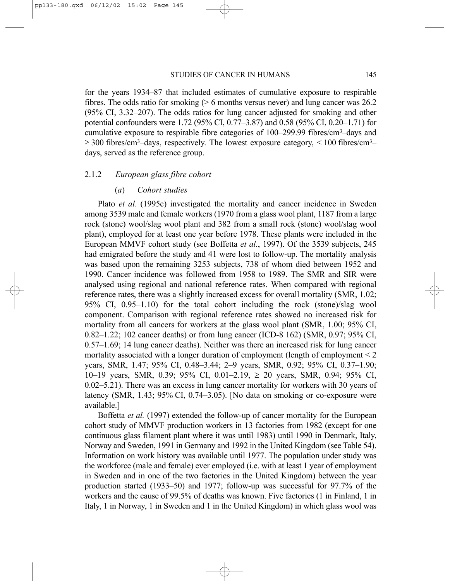for the years 1934–87 that included estimates of cumulative exposure to respirable fibres. The odds ratio for smoking  $(0.6 \text{ months} \text{ versus never})$  and lung cancer was 26.2 (95% CI, 3.32–207). The odds ratios for lung cancer adjusted for smoking and other potential confounders were 1.72 (95% CI, 0.77–3.87) and 0.58 (95% CI, 0.20–1.71) for cumulative exposure to respirable fibre categories of 100–299.99 fibres/cm3–days and  $\geq$  300 fibres/cm<sup>3</sup>–days, respectively. The lowest exposure category, < 100 fibres/cm<sup>3</sup>– days, served as the reference group.

## 2.1.2 *European glass fibre cohort*

## (*a*) *Cohort studies*

Plato *et al*. (1995c) investigated the mortality and cancer incidence in Sweden among 3539 male and female workers (1970 from a glass wool plant, 1187 from a large rock (stone) wool/slag wool plant and 382 from a small rock (stone) wool/slag wool plant), employed for at least one year before 1978. These plants were included in the European MMVF cohort study (see Boffetta *et al.*, 1997). Of the 3539 subjects, 245 had emigrated before the study and 41 were lost to follow-up. The mortality analysis was based upon the remaining 3253 subjects, 738 of whom died between 1952 and 1990. Cancer incidence was followed from 1958 to 1989. The SMR and SIR were analysed using regional and national reference rates. When compared with regional reference rates, there was a slightly increased excess for overall mortality (SMR, 1.02; 95% CI, 0.95–1.10) for the total cohort including the rock (stone)/slag wool component. Comparison with regional reference rates showed no increased risk for mortality from all cancers for workers at the glass wool plant (SMR, 1.00; 95% CI, 0.82–1.22; 102 cancer deaths) or from lung cancer (ICD-8 162) (SMR, 0.97; 95% CI, 0.57–1.69; 14 lung cancer deaths). Neither was there an increased risk for lung cancer mortality associated with a longer duration of employment (length of employment  $\leq 2$ ) years, SMR, 1.47; 95% CI, 0.48–3.44; 2–9 years, SMR, 0.92; 95% CI, 0.37–1.90; 10–19 years, SMR, 0.39; 95% CI, 0.01–2.19, ≥ 20 years, SMR, 0.94; 95% CI, 0.02–5.21). There was an excess in lung cancer mortality for workers with 30 years of latency (SMR, 1.43; 95% CI, 0.74–3.05). [No data on smoking or co-exposure were available.]

Boffetta *et al.* (1997) extended the follow-up of cancer mortality for the European cohort study of MMVF production workers in 13 factories from 1982 (except for one continuous glass filament plant where it was until 1983) until 1990 in Denmark, Italy, Norway and Sweden, 1991 in Germany and 1992 in the United Kingdom (see Table 54). Information on work history was available until 1977. The population under study was the workforce (male and female) ever employed (i.e. with at least 1 year of employment in Sweden and in one of the two factories in the United Kingdom) between the year production started (1933–50) and 1977; follow-up was successful for 97.7% of the workers and the cause of 99.5% of deaths was known. Five factories (1 in Finland, 1 in Italy, 1 in Norway, 1 in Sweden and 1 in the United Kingdom) in which glass wool was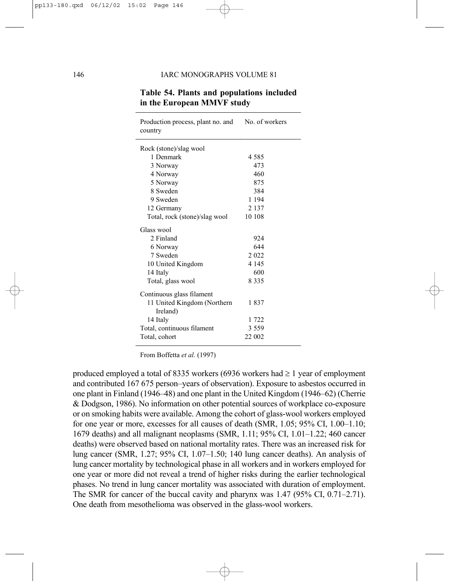| Production process, plant no. and No. of workers<br>country |         |
|-------------------------------------------------------------|---------|
| Rock (stone)/slag wool                                      |         |
| 1 Denmark                                                   | 4 5 8 5 |
| 3 Norway                                                    | 473     |
| 4 Norway                                                    | 460     |
| 5 Norway                                                    | 875     |
| 8 Sweden                                                    | 384     |
| 9 Sweden                                                    | 1 1 9 4 |
| 12 Germany                                                  | 2 1 3 7 |
| Total, rock (stone)/slag wool                               | 10 108  |
| Glass wool                                                  |         |
| 2 Finland                                                   | 924     |
| 6 Norway                                                    | 644     |
| 7 Sweden                                                    | 2 0 2 2 |
| 10 United Kingdom                                           | 4 1 4 5 |
| 14 Italy                                                    | 600     |
| Total, glass wool                                           | 8 3 3 5 |
| Continuous glass filament                                   |         |
| 11 United Kingdom (Northern<br>Ireland)                     | 1837    |
| 14 Italy                                                    | 1 722   |
| Total, continuous filament                                  | 3 5 5 9 |
| Total, cohort                                               | 22 002  |

# **Table 54. Plants and populations included in the European MMVF study**

From Boffetta *et al.* (1997)

produced employed a total of 8335 workers (6936 workers had  $\geq 1$  year of employment and contributed 167 675 person–years of observation). Exposure to asbestos occurred in one plant in Finland (1946–48) and one plant in the United Kingdom (1946–62) (Cherrie & Dodgson, 1986). No information on other potential sources of workplace co-exposure or on smoking habits were available. Among the cohort of glass-wool workers employed for one year or more, excesses for all causes of death (SMR, 1.05; 95% CI, 1.00–1.10; 1679 deaths) and all malignant neoplasms (SMR, 1.11; 95% CI, 1.01–1.22; 460 cancer deaths) were observed based on national mortality rates. There was an increased risk for lung cancer (SMR, 1.27; 95% CI, 1.07–1.50; 140 lung cancer deaths). An analysis of lung cancer mortality by technological phase in all workers and in workers employed for one year or more did not reveal a trend of higher risks during the earlier technological phases. No trend in lung cancer mortality was associated with duration of employment. The SMR for cancer of the buccal cavity and pharynx was 1.47 (95% CI, 0.71–2.71). One death from mesothelioma was observed in the glass-wool workers.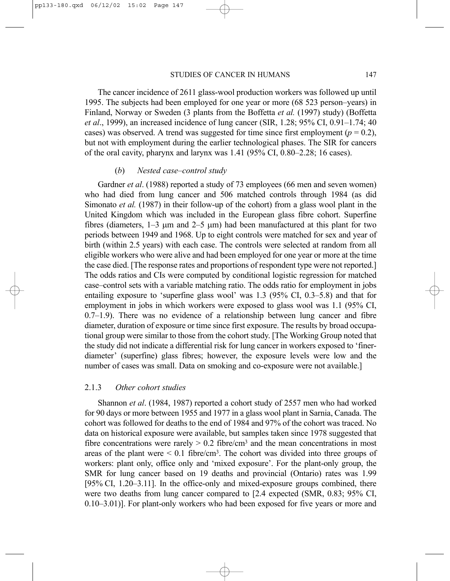The cancer incidence of 2611 glass-wool production workers was followed up until 1995. The subjects had been employed for one year or more (68 523 person–years) in Finland, Norway or Sweden (3 plants from the Boffetta *et al.* (1997) study) (Boffetta *et al*., 1999), an increased incidence of lung cancer (SIR, 1.28; 95% CI, 0.91–1.74; 40 cases) was observed. A trend was suggested for time since first employment  $(p = 0.2)$ , but not with employment during the earlier technological phases. The SIR for cancers of the oral cavity, pharynx and larynx was 1.41 (95% CI, 0.80–2.28; 16 cases).

### (*b*) *Nested case–control study*

Gardner *et al*. (1988) reported a study of 73 employees (66 men and seven women) who had died from lung cancer and 506 matched controls through 1984 (as did Simonato *et al.* (1987) in their follow-up of the cohort) from a glass wool plant in the United Kingdom which was included in the European glass fibre cohort. Superfine fibres (diameters,  $1-3 \mu m$  and  $2-5 \mu m$ ) had been manufactured at this plant for two periods between 1949 and 1968. Up to eight controls were matched for sex and year of birth (within 2.5 years) with each case. The controls were selected at random from all eligible workers who were alive and had been employed for one year or more at the time the case died. [The response rates and proportions of respondent type were not reported.] The odds ratios and CIs were computed by conditional logistic regression for matched case–control sets with a variable matching ratio. The odds ratio for employment in jobs entailing exposure to 'superfine glass wool' was 1.3 (95% CI, 0.3–5.8) and that for employment in jobs in which workers were exposed to glass wool was 1.1 (95% CI, 0.7–1.9). There was no evidence of a relationship between lung cancer and fibre diameter, duration of exposure or time since first exposure. The results by broad occupational group were similar to those from the cohort study. [The Working Group noted that the study did not indicate a differential risk for lung cancer in workers exposed to 'finerdiameter' (superfine) glass fibres; however, the exposure levels were low and the number of cases was small. Data on smoking and co-exposure were not available.]

## 2.1.3 *Other cohort studies*

Shannon *et al*. (1984, 1987) reported a cohort study of 2557 men who had worked for 90 days or more between 1955 and 1977 in a glass wool plant in Sarnia, Canada. The cohort was followed for deaths to the end of 1984 and 97% of the cohort was traced. No data on historical exposure were available, but samples taken since 1978 suggested that fibre concentrations were rarely  $> 0.2$  fibre/cm<sup>3</sup> and the mean concentrations in most areas of the plant were  $\leq 0.1$  fibre/cm<sup>3</sup>. The cohort was divided into three groups of workers: plant only, office only and 'mixed exposure'. For the plant-only group, the SMR for lung cancer based on 19 deaths and provincial (Ontario) rates was 1.99 [95% CI, 1.20–3.11]. In the office-only and mixed-exposure groups combined, there were two deaths from lung cancer compared to [2.4 expected (SMR, 0.83; 95% CI, 0.10–3.01)]. For plant-only workers who had been exposed for five years or more and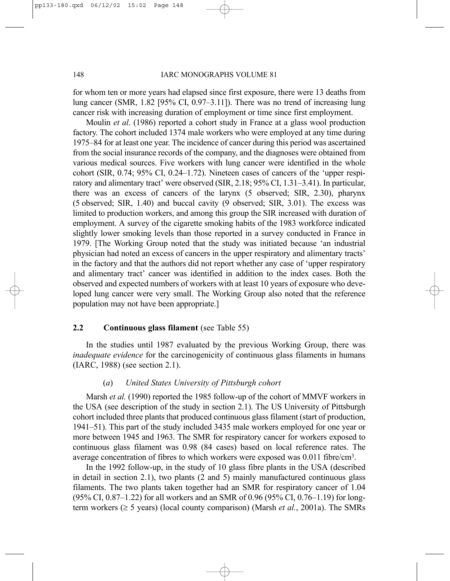for whom ten or more years had elapsed since first exposure, there were 13 deaths from lung cancer (SMR,  $1.82$  [95% CI, 0.97–3.11]). There was no trend of increasing lung cancer risk with increasing duration of employment or time since first employment.

Moulin *et al*. (1986) reported a cohort study in France at a glass wool production factory. The cohort included 1374 male workers who were employed at any time during 1975–84 for at least one year. The incidence of cancer during this period was ascertained from the social insurance records of the company, and the diagnoses were obtained from various medical sources. Five workers with lung cancer were identified in the whole cohort (SIR,  $0.74$ ;  $95\%$  CI,  $0.24$ –1.72). Nineteen cases of cancers of the 'upper respiratory and alimentary tract' were observed (SIR, 2.18; 95% CI, 1.31–3.41). In particular, there was an excess of cancers of the larynx (5 observed; SIR, 2.30), pharynx (5 observed; SIR, 1.40) and buccal cavity (9 observed; SIR, 3.01). The excess was limited to production workers, and among this group the SIR increased with duration of employment. A survey of the cigarette smoking habits of the 1983 workforce indicated slightly lower smoking levels than those reported in a survey conducted in France in 1979. [The Working Group noted that the study was initiated because 'an industrial physician had noted an excess of cancers in the upper respiratory and alimentary tracts' in the factory and that the authors did not report whether any case of 'upper respiratory and alimentary tract' cancer was identified in addition to the index cases. Both the observed and expected numbers of workers with at least 10 years of exposure who developed lung cancer were very small. The Working Group also noted that the reference population may not have been appropriate.]

## **2.2 Continuous glass filament** (see Table 55)

In the studies until 1987 evaluated by the previous Working Group, there was *inadequate evidence* for the carcinogenicity of continuous glass filaments in humans (IARC, 1988) (see section 2.1).

# (*a*) *United States University of Pittsburgh cohort*

Marsh *et al.* (1990) reported the 1985 follow-up of the cohort of MMVF workers in the USA (see description of the study in section 2.1). The US University of Pittsburgh cohort included three plants that produced continuous glass filament (start of production, 1941–51). This part of the study included 3435 male workers employed for one year or more between 1945 and 1963. The SMR for respiratory cancer for workers exposed to continuous glass filament was 0.98 (84 cases) based on local reference rates. The average concentration of fibres to which workers were exposed was 0.011 fibre/cm3.

In the 1992 follow-up, in the study of 10 glass fibre plants in the USA (described in detail in section 2.1), two plants (2 and 5) mainly manufactured continuous glass filaments. The two plants taken together had an SMR for respiratory cancer of 1.04 (95% CI, 0.87–1.22) for all workers and an SMR of 0.96 (95% CI, 0.76–1.19) for longterm workers (≥ 5 years) (local county comparison) (Marsh *et al.*, 2001a). The SMRs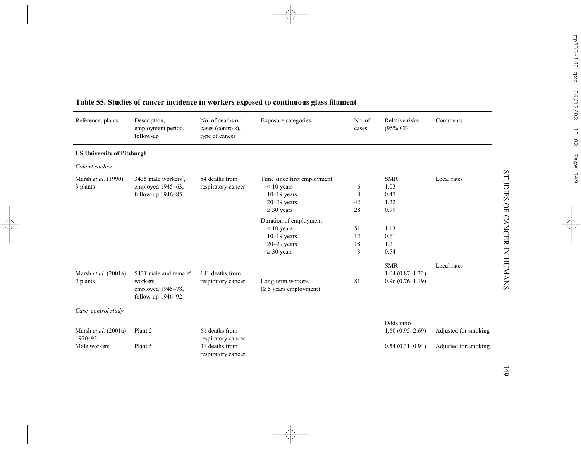| Reference, plants                  | Description.<br>employment period,<br>follow-up                                         | No. of deaths or<br>cases (controls),<br>type of cancer | Exposure categories                                                                                | No. of<br>cases     | Relative risks<br>$(95\% \text{ CI})$                  | Comments             |
|------------------------------------|-----------------------------------------------------------------------------------------|---------------------------------------------------------|----------------------------------------------------------------------------------------------------|---------------------|--------------------------------------------------------|----------------------|
| <b>US University of Pitsburgh</b>  |                                                                                         |                                                         |                                                                                                    |                     |                                                        |                      |
| Cohort studies                     |                                                                                         |                                                         |                                                                                                    |                     |                                                        |                      |
| Marsh et al. (1990)<br>3 plants    | 3435 male workers <sup>a</sup> ,<br>employed 1945–63,<br>follow-up 1946-85              | 84 deaths from<br>respiratory cancer                    | Time since first employment<br>$< 10$ years<br>$10-19$ years<br>$20 - 29$ years<br>$\geq$ 30 years | 6<br>8<br>42<br>28  | <b>SMR</b><br>1.03<br>0.47<br>1.22<br>0.99             | Local rates          |
|                                    |                                                                                         |                                                         | Duration of employment<br>$< 10$ years<br>$10-19$ years<br>$20 - 29$ years<br>$\geq$ 30 years      | 51<br>12<br>18<br>3 | 1.13<br>0.61<br>1.21<br>0.54                           |                      |
| Marsh et al. $(2001a)$<br>2 plants | 5431 male and female <sup>a</sup><br>workers,<br>employed 1945-78,<br>follow-up 1946-92 | 141 deaths from<br>respiratory cancer                   | Long-term workers<br>$(\geq 5$ years employment)                                                   | 81                  | <b>SMR</b><br>$1.04(0.87-1.22)$<br>$0.96(0.76 - 1.19)$ | Local rates          |
| Case-control study                 |                                                                                         |                                                         |                                                                                                    |                     |                                                        |                      |
| Marsh et al. $(2001a)$<br>1970-92  | Plant 2                                                                                 | 61 deaths from<br>respiratory cancer                    |                                                                                                    |                     | Odds ratio<br>$1.60(0.95-2.69)$                        | Adjusted for smoking |
| Male workers                       | Plant 5                                                                                 | 31 deaths from<br>respiratory cancer                    |                                                                                                    |                     | $0.54(0.31-0.94)$                                      | Adjusted for smoking |

# **Table 55. Studies of cancer incidence in workers exposed to continuous glass filament**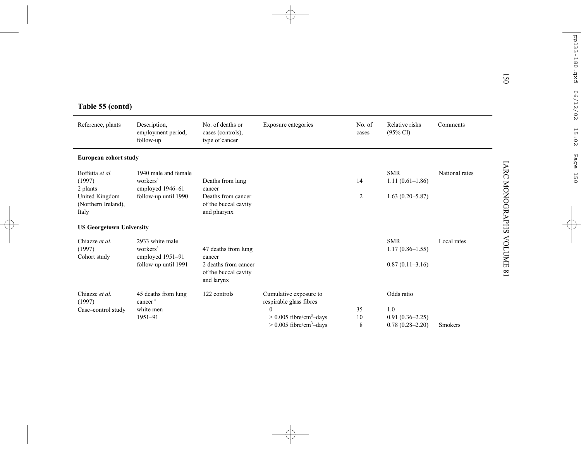| Table 55 (contd)                               |                                                                  |                                                            |                                                                                |                 |                                            |                |
|------------------------------------------------|------------------------------------------------------------------|------------------------------------------------------------|--------------------------------------------------------------------------------|-----------------|--------------------------------------------|----------------|
| Reference, plants                              | Description,<br>employment period,<br>follow-up                  | No. of deaths or<br>cases (controls),<br>type of cancer    | Exposure categories                                                            | No. of<br>cases | Relative risks<br>$(95\% \text{ CI})$      | Comments       |
| European cohort study                          |                                                                  |                                                            |                                                                                |                 |                                            |                |
| Boffetta et al.<br>(1997)<br>2 plants          | 1940 male and female<br>workers <sup>a</sup><br>employed 1946-61 | Deaths from lung<br>cancer                                 |                                                                                | 14              | <b>SMR</b><br>$1.11(0.61-1.86)$            | National rates |
| United Kingdom<br>(Northern Ireland),<br>Italy | follow-up until 1990                                             | Deaths from cancer<br>of the buccal cavity<br>and pharynx  |                                                                                | $\overline{c}$  | $1.63(0.20 - 5.87)$                        |                |
| <b>US Georgetown University</b>                |                                                                  |                                                            |                                                                                |                 |                                            |                |
| Chiazze et al.<br>(1997)<br>Cohort study       | 2933 white male<br>workers <sup>a</sup><br>employed 1951-91      | 47 deaths from lung<br>cancer                              |                                                                                |                 | <b>SMR</b><br>$1.17(0.86 - 1.55)$          | Local rates    |
|                                                | follow-up until 1991                                             | 2 deaths from cancer<br>of the buccal cavity<br>and larynx |                                                                                |                 | $0.87(0.11-3.16)$                          |                |
| Chiazze et al.<br>(1997)                       | 45 deaths from lung<br>cancer <sup>a</sup>                       | 122 controls                                               | Cumulative exposure to<br>respirable glass fibres                              |                 | Odds ratio                                 |                |
| Case-control study                             | white men                                                        |                                                            | 0                                                                              | 35<br>10        | 1.0                                        |                |
|                                                | 1951-91                                                          |                                                            | $> 0.005$ fibre/cm <sup>3</sup> -days<br>$> 0.005$ fibre/cm <sup>3</sup> -days | 8               | $0.91(0.36 - 2.25)$<br>$0.78(0.28 - 2.20)$ | Smokers        |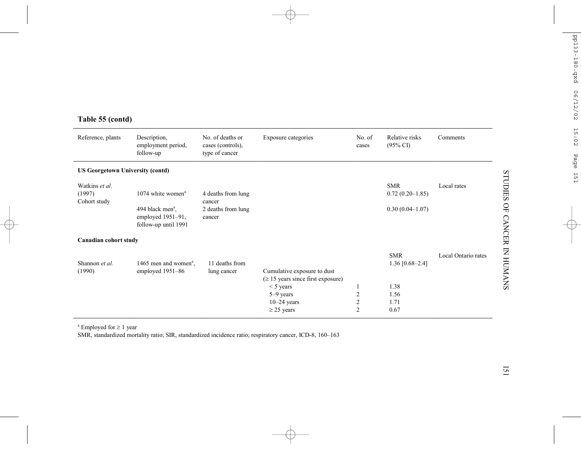| Reference, plants                        | Description,<br>employment period,<br>follow-up                                                                 | No. of deaths or<br>cases (controls),<br>type of cancer      | Exposure categories                                                                                                                   | No. of<br>cases                                          | Relative risks<br>$(95\% \text{ CI})$                             | Comments            |
|------------------------------------------|-----------------------------------------------------------------------------------------------------------------|--------------------------------------------------------------|---------------------------------------------------------------------------------------------------------------------------------------|----------------------------------------------------------|-------------------------------------------------------------------|---------------------|
| <b>US Georgetown University (contd)</b>  |                                                                                                                 |                                                              |                                                                                                                                       |                                                          |                                                                   |                     |
| Watkins et al.<br>(1997)<br>Cohort study | $1074$ white women <sup>a</sup><br>494 black men <sup>a</sup> ,<br>employed $1951-91$ ,<br>follow-up until 1991 | 4 deaths from lung<br>cancer<br>2 deaths from lung<br>cancer |                                                                                                                                       |                                                          | <b>SMR</b><br>$0.72(0.20-1.85)$<br>$0.30(0.04 - 1.07)$            | Local rates         |
| Canadian cohort study                    |                                                                                                                 |                                                              |                                                                                                                                       |                                                          |                                                                   |                     |
| Shannon et al.<br>(1990)                 | 1465 men and women <sup>a</sup> .<br>employed 1951-86                                                           | 11 deaths from<br>lung cancer                                | Cumulative exposure to dust<br>$(\geq 15$ years since first exposure)<br>$<$ 5 years<br>5-9 years<br>$10-24$ years<br>$\geq$ 25 years | -1<br>$\overline{c}$<br>$\mathfrak{2}$<br>$\overline{2}$ | <b>SMR</b><br>1.36 $[0.68 - 2.4]$<br>1.38<br>1.56<br>1.71<br>0.67 | Local Ontario rates |

# **Table 55 (contd)**

a Employed for <sup>≥</sup> 1 year

SMR, standardized mortality ratio; SIR, standardized incidence ratio; respiratory cancer, ICD-8, 160–163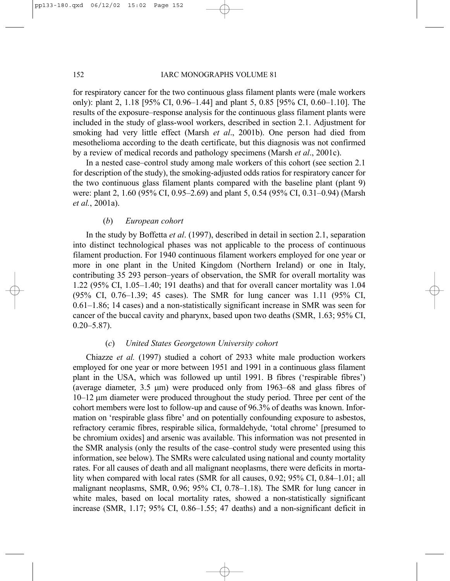for respiratory cancer for the two continuous glass filament plants were (male workers only): plant 2, 1.18 [95% CI, 0.96–1.44] and plant 5, 0.85 [95% CI, 0.60–1.10]. The results of the exposure–response analysis for the continuous glass filament plants were included in the study of glass-wool workers, described in section 2.1. Adjustment for smoking had very little effect (Marsh *et al*., 2001b). One person had died from mesothelioma according to the death certificate, but this diagnosis was not confirmed by a review of medical records and pathology specimens (Marsh *et al*., 2001c).

In a nested case–control study among male workers of this cohort (see section 2.1 for description of the study), the smoking-adjusted odds ratios for respiratory cancer for the two continuous glass filament plants compared with the baseline plant (plant 9) were: plant 2, 1.60 (95% CI, 0.95–2.69) and plant 5, 0.54 (95% CI, 0.31–0.94) (Marsh *et al.*, 2001a).

## (*b*) *European cohort*

In the study by Boffetta *et al*. (1997), described in detail in section 2.1, separation into distinct technological phases was not applicable to the process of continuous filament production. For 1940 continuous filament workers employed for one year or more in one plant in the United Kingdom (Northern Ireland) or one in Italy, contributing 35 293 person–years of observation, the SMR for overall mortality was 1.22 (95% CI, 1.05–1.40; 191 deaths) and that for overall cancer mortality was 1.04 (95% CI, 0.76–1.39; 45 cases). The SMR for lung cancer was 1.11 (95% CI, 0.61–1.86; 14 cases) and a non-statistically significant increase in SMR was seen for cancer of the buccal cavity and pharynx, based upon two deaths (SMR, 1.63; 95% CI,  $0.20 - 5.87$ ).

## (*c*) *United States Georgetown University cohort*

Chiazze *et al.* (1997) studied a cohort of 2933 white male production workers employed for one year or more between 1951 and 1991 in a continuous glass filament plant in the USA, which was followed up until 1991. B fibres ('respirable fibres') (average diameter, 3.5 µm) were produced only from 1963–68 and glass fibres of 10–12 µm diameter were produced throughout the study period. Three per cent of the cohort members were lost to follow-up and cause of 96.3% of deaths was known. Information on 'respirable glass fibre' and on potentially confounding exposure to asbestos, refractory ceramic fibres, respirable silica, formaldehyde, 'total chrome' [presumed to be chromium oxides] and arsenic was available. This information was not presented in the SMR analysis (only the results of the case–control study were presented using this information, see below). The SMRs were calculated using national and county mortality rates. For all causes of death and all malignant neoplasms, there were deficits in mortality when compared with local rates (SMR for all causes, 0.92; 95% CI, 0.84–1.01; all malignant neoplasms, SMR, 0.96; 95% CI, 0.78–1.18). The SMR for lung cancer in white males, based on local mortality rates, showed a non-statistically significant increase (SMR, 1.17; 95% CI, 0.86–1.55; 47 deaths) and a non-significant deficit in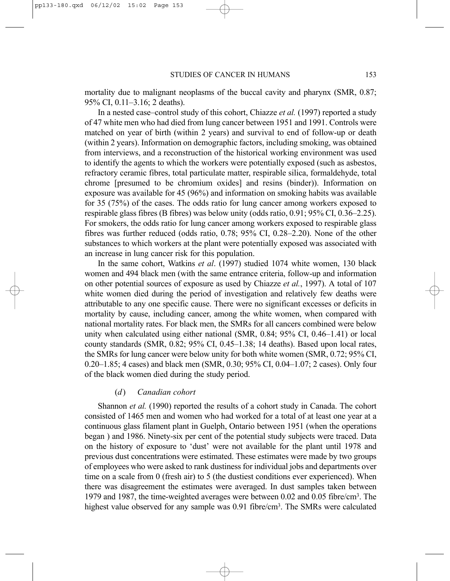mortality due to malignant neoplasms of the buccal cavity and pharynx (SMR, 0.87; 95% CI, 0.11–3.16; 2 deaths).

In a nested case–control study of this cohort, Chiazze *et al.* (1997) reported a study of 47 white men who had died from lung cancer between 1951 and 1991. Controls were matched on year of birth (within 2 years) and survival to end of follow-up or death (within 2 years). Information on demographic factors, including smoking, was obtained from interviews, and a reconstruction of the historical working environment was used to identify the agents to which the workers were potentially exposed (such as asbestos, refractory ceramic fibres, total particulate matter, respirable silica, formaldehyde, total chrome [presumed to be chromium oxides] and resins (binder)). Information on exposure was available for 45 (96%) and information on smoking habits was available for 35 (75%) of the cases. The odds ratio for lung cancer among workers exposed to respirable glass fibres (B fibres) was below unity (odds ratio, 0.91; 95% CI, 0.36–2.25). For smokers, the odds ratio for lung cancer among workers exposed to respirable glass fibres was further reduced (odds ratio, 0.78; 95% CI, 0.28–2.20). None of the other substances to which workers at the plant were potentially exposed was associated with an increase in lung cancer risk for this population.

In the same cohort, Watkins *et al*. (1997) studied 1074 white women, 130 black women and 494 black men (with the same entrance criteria, follow-up and information on other potential sources of exposure as used by Chiazze *et al.*, 1997). A total of 107 white women died during the period of investigation and relatively few deaths were attributable to any one specific cause. There were no significant excesses or deficits in mortality by cause, including cancer, among the white women, when compared with national mortality rates. For black men, the SMRs for all cancers combined were below unity when calculated using either national (SMR, 0.84; 95% CI, 0.46–1.41) or local county standards (SMR, 0.82; 95% CI, 0.45–1.38; 14 deaths). Based upon local rates, the SMRs for lung cancer were below unity for both white women (SMR, 0.72; 95% CI, 0.20–1.85; 4 cases) and black men (SMR, 0.30; 95% CI, 0.04–1.07; 2 cases). Only four of the black women died during the study period.

# (*d*) *Canadian cohort*

Shannon *et al.* (1990) reported the results of a cohort study in Canada. The cohort consisted of 1465 men and women who had worked for a total of at least one year at a continuous glass filament plant in Guelph, Ontario between 1951 (when the operations began ) and 1986. Ninety-six per cent of the potential study subjects were traced. Data on the history of exposure to 'dust' were not available for the plant until 1978 and previous dust concentrations were estimated. These estimates were made by two groups of employees who were asked to rank dustiness for individual jobs and departments over time on a scale from 0 (fresh air) to 5 (the dustiest conditions ever experienced). When there was disagreement the estimates were averaged. In dust samples taken between 1979 and 1987, the time-weighted averages were between 0.02 and 0.05 fibre/cm3. The highest value observed for any sample was 0.91 fibre/cm<sup>3</sup>. The SMRs were calculated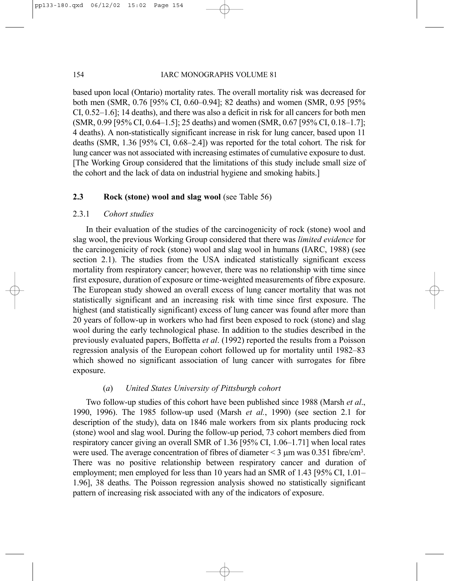based upon local (Ontario) mortality rates. The overall mortality risk was decreased for both men (SMR, 0.76 [95% CI, 0.60–0.94]; 82 deaths) and women (SMR, 0.95 [95% CI, 0.52–1.6]; 14 deaths), and there was also a deficit in risk for all cancers for both men (SMR, 0.99 [95% CI, 0.64–1.5]; 25 deaths) and women (SMR, 0.67 [95% CI, 0.18–1.7]; 4 deaths). A non-statistically significant increase in risk for lung cancer, based upon 11 deaths (SMR, 1.36 [95% CI, 0.68–2.4]) was reported for the total cohort. The risk for lung cancer was not associated with increasing estimates of cumulative exposure to dust. [The Working Group considered that the limitations of this study include small size of the cohort and the lack of data on industrial hygiene and smoking habits.]

# **2.3 Rock (stone) wool and slag wool** (see Table 56)

## 2.3.1 *Cohort studies*

In their evaluation of the studies of the carcinogenicity of rock (stone) wool and slag wool, the previous Working Group considered that there was *limited evidence* for the carcinogenicity of rock (stone) wool and slag wool in humans (IARC, 1988) (see section 2.1). The studies from the USA indicated statistically significant excess mortality from respiratory cancer; however, there was no relationship with time since first exposure, duration of exposure or time-weighted measurements of fibre exposure. The European study showed an overall excess of lung cancer mortality that was not statistically significant and an increasing risk with time since first exposure. The highest (and statistically significant) excess of lung cancer was found after more than 20 years of follow-up in workers who had first been exposed to rock (stone) and slag wool during the early technological phase. In addition to the studies described in the previously evaluated papers, Boffetta *et al*. (1992) reported the results from a Poisson regression analysis of the European cohort followed up for mortality until 1982–83 which showed no significant association of lung cancer with surrogates for fibre exposure.

# (*a*) *United States University of Pittsburgh cohort*

Two follow-up studies of this cohort have been published since 1988 (Marsh *et al*., 1990, 1996). The 1985 follow-up used (Marsh *et al.*, 1990) (see section 2.1 for description of the study), data on 1846 male workers from six plants producing rock (stone) wool and slag wool. During the follow-up period, 73 cohort members died from respiratory cancer giving an overall SMR of 1.36 [95% CI, 1.06–1.71] when local rates were used. The average concentration of fibres of diameter  $\leq$  3  $\mu$ m was 0.351 fibre/cm<sup>3</sup>. There was no positive relationship between respiratory cancer and duration of employment; men employed for less than 10 years had an SMR of 1.43 [95% CI, 1.01– 1.96], 38 deaths. The Poisson regression analysis showed no statistically significant pattern of increasing risk associated with any of the indicators of exposure.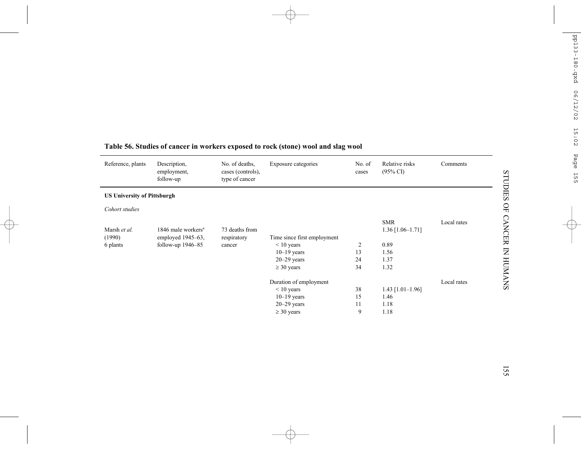| Reference, plants                  | Description,<br>employment,<br>follow-up | No. of deaths,<br>cases (controls),<br>type of cancer | Exposure categories         | No. of<br>cases | Relative risks<br>$(95\% \text{ CI})$ | Comments    |
|------------------------------------|------------------------------------------|-------------------------------------------------------|-----------------------------|-----------------|---------------------------------------|-------------|
| <b>US University of Pittsburgh</b> |                                          |                                                       |                             |                 |                                       |             |
| Cohort studies                     |                                          |                                                       |                             |                 |                                       |             |
|                                    |                                          |                                                       |                             |                 | <b>SMR</b>                            | Local rates |
| Marsh et al.                       | 1846 male workers <sup>a</sup>           | 73 deaths from                                        |                             |                 | $1.36$ [1.06-1.71]                    |             |
| (1990)                             | employed $1945-63$ ,                     | respiratory                                           | Time since first employment |                 |                                       |             |
| 6 plants                           | follow-up $1946 - 85$                    | cancer                                                | $\leq 10$ years             | $\overline{2}$  | 0.89                                  |             |
|                                    |                                          |                                                       | $10-19$ years               | 13              | 1.56                                  |             |
|                                    |                                          |                                                       | $20 - 29$ years             | 24              | 1.37                                  |             |
|                                    |                                          |                                                       | $\geq$ 30 years             | 34              | 1.32                                  |             |
|                                    |                                          |                                                       | Duration of employment      |                 |                                       | Local rates |
|                                    |                                          |                                                       | $\leq 10$ years             | 38              | $1.43$ [1.01-1.96]                    |             |
|                                    |                                          |                                                       | $10-19$ years               | 15              | 1.46                                  |             |
|                                    |                                          |                                                       | $20 - 29$ years             | 11              | 1.18                                  |             |
|                                    |                                          |                                                       | $\geq$ 30 years             | 9               | 1.18                                  |             |

# **Table 56. Studies of cancer in workers exposed to rock (stone) wool and slag wool**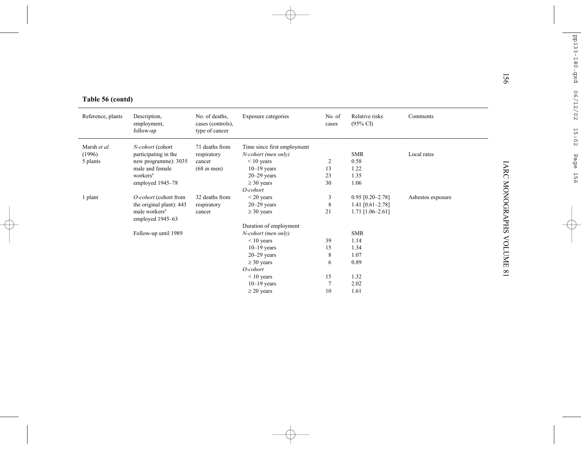|                   |                                               |                                                       |                             |                 |                                       |                   | 56                     |  |  |
|-------------------|-----------------------------------------------|-------------------------------------------------------|-----------------------------|-----------------|---------------------------------------|-------------------|------------------------|--|--|
| Table 56 (contd)  |                                               |                                                       |                             |                 |                                       |                   |                        |  |  |
| Reference, plants | Description,<br>employment,<br>follow-up      | No. of deaths,<br>cases (controls),<br>type of cancer | Exposure categories         | No. of<br>cases | Relative risks<br>$(95\% \text{ CI})$ | Comments          |                        |  |  |
| Marsh et al.      | N-cohort (cohort                              | 71 deaths from                                        | Time since first employment |                 |                                       |                   |                        |  |  |
| (1996)            | participating in the                          | respiratory                                           | N-cohort (men only)         |                 | <b>SMR</b>                            | Local rates       |                        |  |  |
| 5 plants          | new programme): 3035                          | cancer                                                | $< 10$ years                | $\overline{2}$  | 0.58                                  |                   |                        |  |  |
|                   | male and female                               | $(68 \text{ in men})$                                 | $10-19$ years               | 13              | 1.22                                  |                   |                        |  |  |
|                   | workers <sup>a</sup>                          |                                                       | $20 - 29$ years             | 23              | 1.35                                  |                   |                        |  |  |
|                   | employed 1945-78                              |                                                       | $\geq$ 30 years             | 30              | 1.06                                  |                   |                        |  |  |
|                   |                                               |                                                       | O-cohort                    |                 |                                       |                   |                        |  |  |
| 1 plant           | O-cohort (cohort from                         | 32 deaths from                                        | $<$ 20 years                | 3               | $0.95$ [0.20-2.78]                    | Asbestos exposure |                        |  |  |
|                   | the original plant): 443                      | respiratory                                           | $20 - 29$ years             | 8               | 1.41 $[0.61 - 2.78]$                  |                   |                        |  |  |
|                   | male workers <sup>a</sup><br>employed 1945-63 | cancer                                                | $\geq$ 30 years             | 21              | $1.71$ [1.06-2.61]                    |                   | <b>IARC MONOGRAPHS</b> |  |  |
|                   |                                               |                                                       | Duration of employment      |                 |                                       |                   |                        |  |  |
|                   | Follow-up until 1989                          |                                                       | N-cohort (men only)         |                 | <b>SMR</b>                            |                   |                        |  |  |
|                   |                                               |                                                       | $< 10$ years                | 39              | 1.14                                  |                   | <b>ANDIONE</b>         |  |  |
|                   |                                               |                                                       | $10-19$ years               | 15              | 1.34                                  |                   |                        |  |  |
|                   |                                               |                                                       | $20 - 29$ years             | 8               | 1.07                                  |                   |                        |  |  |
|                   |                                               |                                                       | $\geq$ 30 years             | 6               | 0.89                                  |                   |                        |  |  |
|                   |                                               |                                                       | O-cohort                    |                 |                                       |                   | $\infty$               |  |  |
|                   |                                               |                                                       | $\leq 10$ years             | 15              | 1.32                                  |                   |                        |  |  |
|                   |                                               |                                                       | $10-19$ years               | 7               | 2.02                                  |                   |                        |  |  |
|                   |                                               |                                                       | $\geq$ 20 years             | 10              | 1.61                                  |                   |                        |  |  |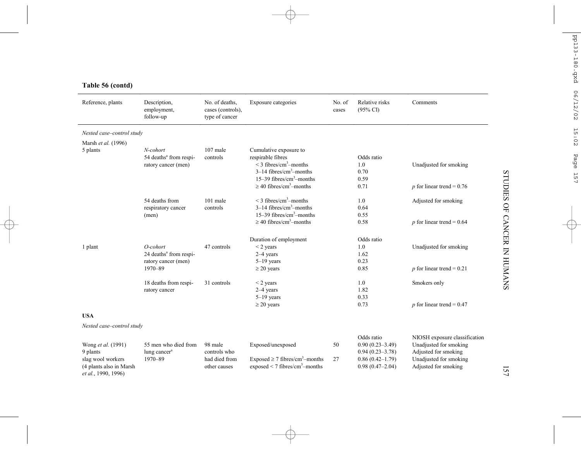# **Table 56 (contd)**

| Reference, plants                                                   | Description,<br>employment,<br>follow-up                              | No. of deaths,<br>cases (controls),<br>type of cancer | Exposure categories                                                                                                             | No. of<br>cases | Relative risks<br>$(95\% \text{ CI})$                    | Comments                                                                        |
|---------------------------------------------------------------------|-----------------------------------------------------------------------|-------------------------------------------------------|---------------------------------------------------------------------------------------------------------------------------------|-----------------|----------------------------------------------------------|---------------------------------------------------------------------------------|
| Nested case-control study                                           |                                                                       |                                                       |                                                                                                                                 |                 |                                                          |                                                                                 |
| Marsh et al. (1996)                                                 |                                                                       |                                                       |                                                                                                                                 |                 |                                                          |                                                                                 |
| 5 plants                                                            | N-cohort<br>54 deaths <sup>a</sup> from respi-<br>ratory cancer (men) | 107 male<br>controls                                  | Cumulative exposure to<br>respirable fibres<br>$\leq$ 3 fibres/cm <sup>3</sup> -months<br>$3-14$ fibres/cm <sup>3</sup> -months |                 | Odds ratio<br>1.0<br>0.70                                | Unadjusted for smoking                                                          |
|                                                                     |                                                                       |                                                       | $15-39$ fibres/cm <sup>3</sup> -months<br>$\geq$ 40 fibres/cm <sup>3</sup> -months                                              |                 | 0.59<br>0.71                                             | $p$ for linear trend = 0.76                                                     |
|                                                                     | 54 deaths from<br>respiratory cancer<br>(men)                         | $101$ male<br>controls                                | $\leq$ 3 fibres/cm <sup>3</sup> -months<br>$3-14$ fibres/cm <sup>3</sup> -months<br>$15-39$ fibres/cm <sup>3</sup> -months      |                 | 1.0<br>0.64<br>0.55                                      | Adjusted for smoking                                                            |
|                                                                     |                                                                       |                                                       | $\geq$ 40 fibres/cm <sup>3</sup> -months                                                                                        |                 | 0.58                                                     | p for linear trend = $0.64$                                                     |
|                                                                     |                                                                       |                                                       | Duration of employment                                                                                                          |                 | Odds ratio                                               |                                                                                 |
| 1 plant                                                             | O-cohort                                                              | 47 controls                                           | $<$ 2 years                                                                                                                     |                 | 1.0                                                      | Unadjusted for smoking                                                          |
|                                                                     | 24 deaths <sup>a</sup> from respi-                                    |                                                       | $2-4$ years                                                                                                                     |                 | 1.62                                                     |                                                                                 |
|                                                                     | ratory cancer (men)                                                   |                                                       | $5-19$ years                                                                                                                    |                 | 0.23                                                     |                                                                                 |
|                                                                     | 1970-89                                                               |                                                       | $\geq$ 20 years                                                                                                                 |                 | 0.85                                                     | $p$ for linear trend = 0.21                                                     |
|                                                                     | 18 deaths from respi-                                                 | 31 controls                                           | $<$ 2 years                                                                                                                     |                 | 1.0                                                      | Smokers only                                                                    |
|                                                                     | ratory cancer                                                         |                                                       | $2-4$ years                                                                                                                     |                 | 1.82                                                     |                                                                                 |
|                                                                     |                                                                       |                                                       | $5-19$ years                                                                                                                    |                 | 0.33<br>0.73                                             |                                                                                 |
|                                                                     |                                                                       |                                                       | $\geq$ 20 years                                                                                                                 |                 |                                                          | p for linear trend = $0.47$                                                     |
| <b>USA</b>                                                          |                                                                       |                                                       |                                                                                                                                 |                 |                                                          |                                                                                 |
| Nested case-control study                                           |                                                                       |                                                       |                                                                                                                                 |                 |                                                          |                                                                                 |
| Wong et al. (1991)<br>9 plants                                      | 55 men who died from<br>lung cancer <sup>a</sup>                      | 98 male<br>controls who                               | Exposed/unexposed                                                                                                               | 50              | Odds ratio<br>$0.90(0.23 - 3.49)$<br>$0.94(0.23 - 3.78)$ | NIOSH exposure classification<br>Unadjusted for smoking<br>Adjusted for smoking |
| slag wool workers<br>(4 plants also in Marsh<br>et al., 1990, 1996) | $1970 - 89$                                                           | had died from<br>other causes                         | Exposed $\geq$ 7 fibres/cm <sup>3</sup> -months<br>exposed $\leq$ 7 fibres/cm <sup>3</sup> -months                              | 27              | $0.86(0.42 - 1.79)$<br>$0.98(0.47 - 2.04)$               | Unadjusted for smoking<br>Adjusted for smoking                                  |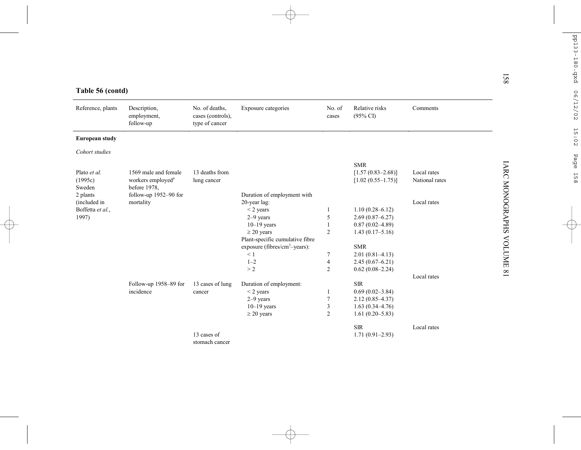| Table 56 (contd)                  |                                               |                                                       |                                        |                                  |                                                 |                               | $\overline{8}$         |
|-----------------------------------|-----------------------------------------------|-------------------------------------------------------|----------------------------------------|----------------------------------|-------------------------------------------------|-------------------------------|------------------------|
| Reference, plants                 | Description,<br>employment,<br>follow-up      | No. of deaths,<br>cases (controls),<br>type of cancer | Exposure categories                    | No. of<br>cases                  | Relative risks<br>$(95\% \text{ CI})$           | Comments                      |                        |
| <b>European study</b>             |                                               |                                                       |                                        |                                  |                                                 |                               |                        |
| Cohort studies                    |                                               |                                                       |                                        |                                  |                                                 |                               |                        |
|                                   | 1569 male and female                          |                                                       |                                        |                                  | <b>SMR</b>                                      |                               |                        |
| Plato et al.<br>(1995c)<br>Sweden | workers employed <sup>a</sup><br>before 1978, | 13 deaths from<br>lung cancer                         |                                        |                                  | $[1.57(0.83 - 2.68)]$<br>$[1.02 (0.55 - 1.75)]$ | Local rates<br>National rates | <b>IARC MONOGRAPHS</b> |
| 2 plants                          | follow-up 1952-90 for                         |                                                       | Duration of employment with            |                                  |                                                 |                               |                        |
| (included in                      | mortality                                     |                                                       | 20-year lag:                           |                                  |                                                 | Local rates                   |                        |
| Boffetta et al.,                  |                                               |                                                       | $<$ 2 years                            |                                  | $1.10(0.28 - 6.12)$                             |                               |                        |
| 1997)                             |                                               |                                                       | 2-9 years                              | 5                                | $2.69(0.87 - 6.27)$                             |                               |                        |
|                                   |                                               |                                                       | $10-19$ years                          |                                  | $0.87(0.02 - 4.89)$                             |                               |                        |
|                                   |                                               |                                                       | $\geq$ 20 years                        | $\overline{2}$                   | $1.43(0.17-5.16)$                               |                               |                        |
|                                   |                                               |                                                       | Plant-specific cumulative fibre        |                                  |                                                 |                               | <b>NOLUME</b>          |
|                                   |                                               |                                                       | exposure (fibres/ $cm^3$ -years):      |                                  | <b>SMR</b>                                      |                               |                        |
|                                   |                                               |                                                       | < 1                                    | 7                                | $2.01(0.81 - 4.13)$                             |                               |                        |
|                                   |                                               |                                                       | $1 - 2$                                | $\overline{4}$<br>$\overline{2}$ | $2.45(0.67 - 6.21)$                             |                               |                        |
|                                   |                                               |                                                       | >2                                     |                                  | $0.62(0.08 - 2.24)$                             | Local rates                   | $\infty$               |
|                                   |                                               |                                                       |                                        |                                  | <b>SIR</b>                                      |                               |                        |
|                                   | Follow-up 1958-89 for<br>incidence            | 13 cases of lung<br>cancer                            | Duration of employment:<br>$<$ 2 years | $\overline{1}$                   | $0.69(0.02 - 3.84)$                             |                               |                        |
|                                   |                                               |                                                       | $2-9$ years                            | $\overline{7}$                   | $2.12(0.85 - 4.37)$                             |                               |                        |
|                                   |                                               |                                                       | $10-19$ years                          | 3                                | $1.63(0.34 - 4.76)$                             |                               |                        |
|                                   |                                               |                                                       | $\geq$ 20 years                        | $\overline{2}$                   | $1.61(0.20 - 5.83)$                             |                               |                        |
|                                   |                                               |                                                       |                                        |                                  |                                                 |                               |                        |
|                                   |                                               |                                                       |                                        |                                  | <b>SIR</b>                                      | Local rates                   |                        |
|                                   |                                               | 13 cases of                                           |                                        |                                  | $1.71(0.91 - 2.93)$                             |                               |                        |
|                                   |                                               | stomach cancer                                        |                                        |                                  |                                                 |                               |                        |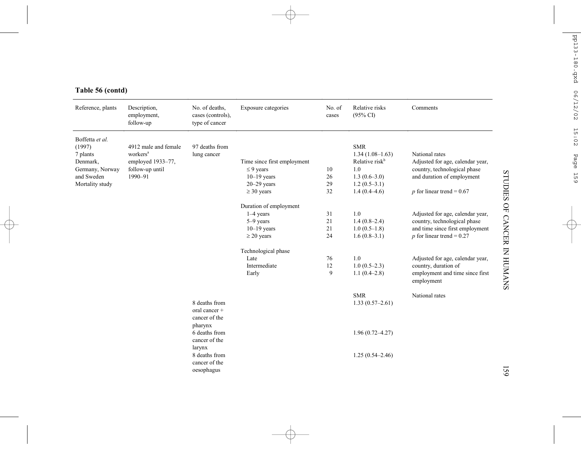| Reference, plants                                                                  | Description,<br>employment,<br>follow-up                                                        | No. of deaths,<br>cases (controls),<br>type of cancer                                                                                                  | Exposure categories                                                                                                                                               | No. of<br>cases                       | Relative risks<br>$(95\% \text{ CI})$                                                                                  | Comments                                                                                                                                                                                                                                                                       |
|------------------------------------------------------------------------------------|-------------------------------------------------------------------------------------------------|--------------------------------------------------------------------------------------------------------------------------------------------------------|-------------------------------------------------------------------------------------------------------------------------------------------------------------------|---------------------------------------|------------------------------------------------------------------------------------------------------------------------|--------------------------------------------------------------------------------------------------------------------------------------------------------------------------------------------------------------------------------------------------------------------------------|
| Boffetta et al.<br>(1997)<br>7 plants<br>Denmark,<br>Germany, Norway<br>and Sweden | 4912 male and female<br>workers <sup>a</sup><br>employed 1933-77,<br>follow-up until<br>1990-91 | 97 deaths from<br>lung cancer                                                                                                                          | Time since first employment<br>$\leq$ 9 years<br>$10-19$ years                                                                                                    | 10<br>26                              | <b>SMR</b><br>$1.34(1.08-1.63)$<br>Relative risk <sup>b</sup><br>1.0<br>$1.3(0.6-3.0)$                                 | National rates<br>Adjusted for age, calendar year,<br>country, technological phase<br>and duration of employment                                                                                                                                                               |
| Mortality study                                                                    |                                                                                                 |                                                                                                                                                        | $20 - 29$ years                                                                                                                                                   | 29<br>32                              | $1.2(0.5-3.1)$                                                                                                         |                                                                                                                                                                                                                                                                                |
|                                                                                    |                                                                                                 |                                                                                                                                                        | $\geq$ 30 years<br>Duration of employment<br>$1-4$ years<br>5-9 years<br>$10-19$ years<br>$\geq$ 20 years<br>Technological phase<br>Late<br>Intermediate<br>Early | 31<br>21<br>21<br>24<br>76<br>12<br>9 | $1.4(0.4-4.6)$<br>1.0<br>$1.4(0.8-2.4)$<br>$1.0(0.5-1.8)$<br>$1.6(0.8-3.1)$<br>1.0<br>$1.0(0.5-2.3)$<br>$1.1(0.4-2.8)$ | p for linear trend = $0.67$<br>Adjusted for age, calendar year,<br>country, technological phase<br>and time since first employment<br>p for linear trend = $0.27$<br>Adjusted for age, calendar year,<br>country, duration of<br>employment and time since first<br>employment |
|                                                                                    |                                                                                                 | 8 deaths from<br>oral cancer +<br>cancer of the<br>pharynx<br>6 deaths from<br>cancer of the<br>larynx<br>8 deaths from<br>cancer of the<br>oesophagus |                                                                                                                                                                   |                                       | <b>SMR</b><br>$1.33(0.57-2.61)$<br>$1.96(0.72 - 4.27)$<br>$1.25(0.54 - 2.46)$                                          | National rates                                                                                                                                                                                                                                                                 |

# **Table 56 (contd)**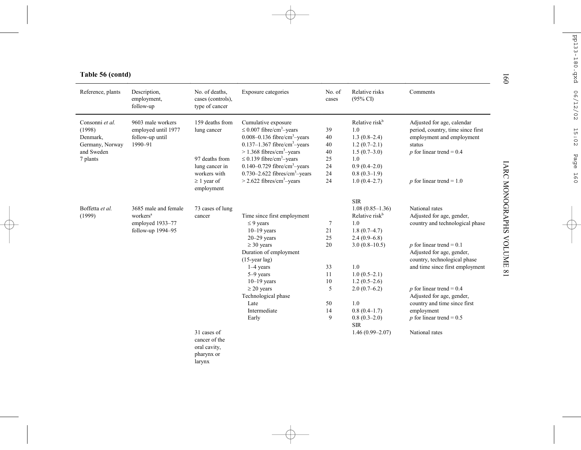| Reference, plants              | Description,<br>employment,<br>follow-up | No. of deaths,<br>cases (controls),<br>type of cancer | Exposure categories                                           | No. of<br>cases            | Relative risks<br>$(95\% \text{ CI})$ | Comments                                                                                |
|--------------------------------|------------------------------------------|-------------------------------------------------------|---------------------------------------------------------------|----------------------------|---------------------------------------|-----------------------------------------------------------------------------------------|
| Consonni et al.                | 9603 male workers                        | 159 deaths from                                       | Cumulative exposure                                           |                            | Relative risk <sup>b</sup>            | Adjusted for age, calendar                                                              |
| (1998)                         | employed until 1977                      | lung cancer                                           | $\leq$ 0.007 fibre/cm <sup>3</sup> -years                     | 39                         | 1.0                                   | period, country, time since first                                                       |
| Denmark,                       | follow-up until                          |                                                       | $0.008 - 0.136$ fibre/cm <sup>3</sup> -years                  | 40                         | $1.3(0.8-2.4)$                        | employment and employment                                                               |
| Germany, Norway                | 1990-91                                  |                                                       | $0.137-1.367$ fibre/cm <sup>3</sup> -years                    | 40                         | $1.2(0.7-2.1)$                        | status                                                                                  |
| and Sweden                     |                                          |                                                       | $> 1.368$ fibres/cm <sup>3</sup> -years                       | 40                         | $1.5(0.7-3.0)$                        | $p$ for linear trend = 0.4                                                              |
| 7 plants                       |                                          | 97 deaths from                                        | $\leq$ 0.139 fibre/cm <sup>3</sup> -years                     | 25                         | 1.0                                   |                                                                                         |
|                                |                                          | lung cancer in                                        | $0.140 - 0.729$ fibre/cm <sup>3</sup> -years                  | 24                         | $0.9(0.4-2.0)$                        |                                                                                         |
|                                |                                          | workers with                                          | $0.730 - 2.622$ fibres/cm <sup>3</sup> -years                 | 24                         | $0.8(0.3-1.9)$                        |                                                                                         |
|                                |                                          | $\geq 1$ year of<br>employment                        | $>$ 2.622 fibres/cm <sup>3</sup> -years                       | 24                         | $1.0(0.4-2.7)$                        | p for linear trend = $1.0$                                                              |
|                                |                                          |                                                       |                                                               |                            | <b>SIR</b>                            |                                                                                         |
| Boffetta et al.                | 3685 male and female                     | 73 cases of lung                                      |                                                               |                            | $1.08(0.85-1.36)$                     | National rates                                                                          |
| (1999)<br>workers <sup>a</sup> | cancer                                   | Time since first employment                           |                                                               | Relative risk <sup>b</sup> | Adjusted for age, gender,             |                                                                                         |
|                                | employed 1933-77                         |                                                       | $\leq$ 9 years                                                | 7                          | 1.0                                   | country and technological phase                                                         |
|                                | follow-up 1994-95                        |                                                       | $10-19$ years                                                 | 21                         | $1.8(0.7-4.7)$                        |                                                                                         |
|                                |                                          |                                                       | $20 - 29$ years                                               | 25                         | $2.4(0.9-6.8)$                        |                                                                                         |
|                                |                                          |                                                       | $\geq$ 30 years<br>Duration of employment<br>$(15$ -year lag) | 20                         | $3.0(0.8-10.5)$                       | $p$ for linear trend = 0.1<br>Adjusted for age, gender,<br>country, technological phase |
|                                |                                          |                                                       | $1-4$ years                                                   | 33                         | 1.0                                   | and time since first employment                                                         |
|                                |                                          |                                                       | 5-9 years                                                     | 11                         | $1.0(0.5-2.1)$                        |                                                                                         |
|                                |                                          |                                                       | $10-19$ years                                                 | 10                         | $1.2(0.5-2.6)$                        |                                                                                         |
|                                |                                          |                                                       | $\geq$ 20 years                                               | 5                          | $2.0(0.7-6.2)$                        | $p$ for linear trend = 0.4                                                              |
|                                |                                          |                                                       | Technological phase                                           |                            |                                       | Adjusted for age, gender,                                                               |
|                                |                                          |                                                       | I ate                                                         | 50                         | 1.0                                   | country and time since first                                                            |
|                                |                                          |                                                       | Intermediate                                                  | 14                         | $0.8(0.4-1.7)$                        | employment                                                                              |
|                                |                                          |                                                       | Early                                                         | 9                          | $0.8(0.3-2.0)$<br><b>SIR</b>          | p for linear trend = $0.5$                                                              |
|                                |                                          | 31 cases of                                           |                                                               |                            | $1.46(0.99 - 2.07)$                   | National rates                                                                          |
|                                |                                          | cancer of the                                         |                                                               |                            |                                       |                                                                                         |
|                                |                                          | oral cavity,                                          |                                                               |                            |                                       |                                                                                         |
|                                |                                          | pharynx or                                            |                                                               |                            |                                       |                                                                                         |
|                                |                                          | larynx                                                |                                                               |                            |                                       |                                                                                         |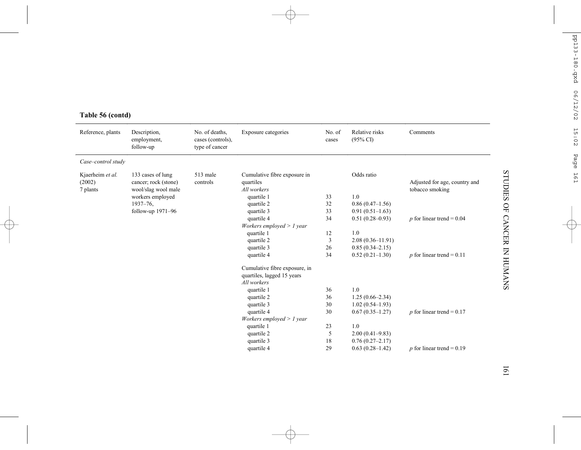| Reference, plants                      | Description,<br>employment,<br>follow-up                         | No. of deaths,<br>cases (controls),<br>type of cancer | Exposure categories                                                        | No. of<br>cases | Relative risks<br>$(95\% \text{ CI})$ | Comments                                         |
|----------------------------------------|------------------------------------------------------------------|-------------------------------------------------------|----------------------------------------------------------------------------|-----------------|---------------------------------------|--------------------------------------------------|
| Case-control study                     |                                                                  |                                                       |                                                                            |                 |                                       |                                                  |
| Kjaerheim et al.<br>(2002)<br>7 plants | 133 cases of lung<br>cancer; rock (stone)<br>wool/slag wool male | 513 male<br>controls                                  | Cumulative fibre exposure in<br>quartiles<br>All workers                   |                 | Odds ratio                            | Adjusted for age, country and<br>tobacco smoking |
|                                        | workers employed                                                 |                                                       | quartile 1                                                                 | 33              | 1.0                                   |                                                  |
|                                        | 1937-76.                                                         |                                                       | quartile 2                                                                 | 32              | $0.86(0.47-1.56)$                     |                                                  |
|                                        | follow-up 1971-96                                                |                                                       | quartile 3                                                                 | 33              | $0.91(0.51-1.63)$                     |                                                  |
|                                        |                                                                  |                                                       | quartile 4<br>Workers employed $> 1$ year                                  | 34              | $0.51(0.28 - 0.93)$                   | p for linear trend = $0.04$                      |
|                                        |                                                                  |                                                       | quartile 1                                                                 | 12              | 1.0                                   |                                                  |
|                                        |                                                                  |                                                       | quartile 2                                                                 | $\overline{3}$  | $2.08(0.36 - 11.91)$                  |                                                  |
|                                        |                                                                  |                                                       | quartile 3                                                                 | 26              | $0.85(0.34 - 2.15)$                   |                                                  |
|                                        |                                                                  |                                                       | quartile 4                                                                 | 34              | $0.52(0.21-1.30)$                     | p for linear trend = $0.11$                      |
|                                        |                                                                  |                                                       | Cumulative fibre exposure, in<br>quartiles, lagged 15 years<br>All workers |                 |                                       |                                                  |
|                                        |                                                                  |                                                       | quartile 1                                                                 | 36              | 1.0                                   |                                                  |
|                                        |                                                                  |                                                       | quartile 2                                                                 | 36              | $1.25(0.66-2.34)$                     |                                                  |
|                                        |                                                                  |                                                       | quartile 3                                                                 | 30              | $1.02(0.54 - 1.93)$                   |                                                  |
|                                        |                                                                  |                                                       | quartile 4                                                                 | 30              | $0.67(0.35 - 1.27)$                   | p for linear trend = $0.17$                      |
|                                        |                                                                  |                                                       | Workers employed $> 1$ year                                                |                 |                                       |                                                  |
|                                        |                                                                  |                                                       | quartile 1                                                                 | 23              | 1.0                                   |                                                  |
|                                        |                                                                  |                                                       | quartile 2                                                                 | 5               | $2.00(0.41 - 9.83)$                   |                                                  |
|                                        |                                                                  |                                                       | quartile 3                                                                 | 18              | $0.76(0.27 - 2.17)$                   |                                                  |
|                                        |                                                                  |                                                       | quartile 4                                                                 | 29              | $0.63(0.28-1.42)$                     | p for linear trend = $0.19$                      |

# **Table 56 (contd)**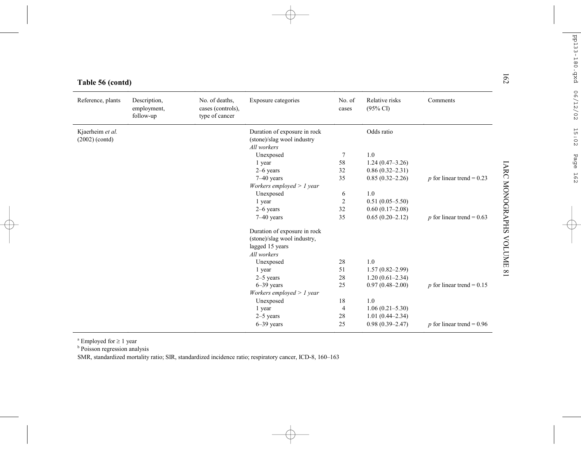| Table 56 (contd)                     |                                          |                                                       |                                                            |                 |                                       |                                    |
|--------------------------------------|------------------------------------------|-------------------------------------------------------|------------------------------------------------------------|-----------------|---------------------------------------|------------------------------------|
| Reference, plants                    | Description,<br>employment,<br>follow-up | No. of deaths,<br>cases (controls),<br>type of cancer | Exposure categories                                        | No. of<br>cases | Relative risks<br>$(95\% \text{ CI})$ | Comments                           |
| Kjaerheim et al.<br>$(2002)$ (contd) |                                          |                                                       | Duration of exposure in rock<br>(stone)/slag wool industry |                 | Odds ratio                            |                                    |
|                                      |                                          |                                                       | All workers                                                |                 | 1.0                                   |                                    |
|                                      |                                          |                                                       | Unexposed                                                  | $\tau$<br>58    |                                       |                                    |
|                                      |                                          |                                                       | 1 year                                                     | 32              | $1.24(0.47-3.26)$                     |                                    |
|                                      |                                          |                                                       | $2-6$ years                                                | 35              | $0.86(0.32 - 2.31)$                   |                                    |
|                                      |                                          |                                                       | $7 - 40$ years<br>Workers employed $> 1$ year              |                 | $0.85(0.32 - 2.26)$                   | $p$ for linear trend = 0.23        |
|                                      |                                          |                                                       | Unexposed                                                  | 6               | 1.0                                   |                                    |
|                                      |                                          |                                                       | 1 year                                                     | $\overline{c}$  | $0.51(0.05 - 5.50)$                   |                                    |
|                                      |                                          |                                                       | $2-6$ years                                                | 32              | $0.60(0.17-2.08)$                     |                                    |
|                                      |                                          |                                                       | $7-40$ years                                               | 35              | $0.65(0.20-2.12)$                     | <i>p</i> for linear trend = $0.63$ |
|                                      |                                          |                                                       | Duration of exposure in rock                               |                 |                                       |                                    |
|                                      |                                          |                                                       | (stone)/slag wool industry,                                |                 |                                       |                                    |
|                                      |                                          |                                                       | lagged 15 years                                            |                 |                                       |                                    |
|                                      |                                          |                                                       | All workers                                                |                 |                                       |                                    |
|                                      |                                          |                                                       | Unexposed                                                  | 28              | 1.0                                   |                                    |
|                                      |                                          |                                                       | 1 year                                                     | 51              | $1.57(0.82 - 2.99)$                   |                                    |
|                                      |                                          |                                                       | $2-5$ years                                                | 28              | $1.20(0.61 - 2.34)$                   |                                    |
|                                      |                                          |                                                       | $6 - 39$ years                                             | 25              | $0.97(0.48 - 2.00)$                   | p for linear trend = $0.15$        |
|                                      |                                          |                                                       | Workers employed $> 1$ year                                |                 |                                       |                                    |
|                                      |                                          |                                                       | Unexposed                                                  | 18              | 1.0                                   |                                    |
|                                      |                                          |                                                       | 1 year                                                     | $\overline{4}$  | $1.06(0.21 - 5.30)$                   |                                    |
|                                      |                                          |                                                       | $2-5$ years                                                | 28              | $1.01(0.44 - 2.34)$                   |                                    |
|                                      |                                          |                                                       | $6 - 39$ years                                             | 25              | $0.98(0.39 - 2.47)$                   | p for linear trend = $0.96$        |

a Employed for <sup>≥</sup> 1 year

<sup>b</sup> Poisson regression analysis

SMR, standardized mortality ratio; SIR, standardized incidence ratio; respiratory cancer, ICD-8, 160–163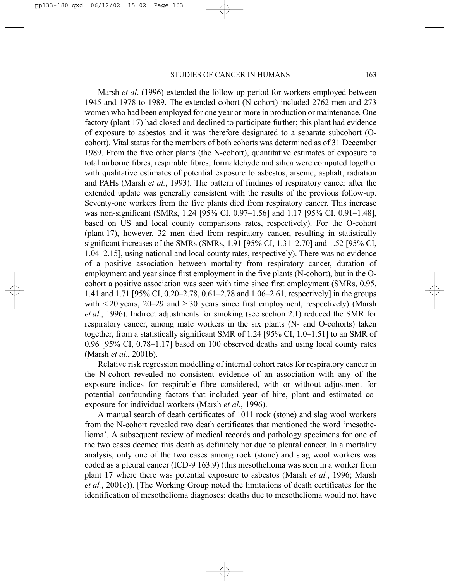Marsh *et al*. (1996) extended the follow-up period for workers employed between 1945 and 1978 to 1989. The extended cohort (N-cohort) included 2762 men and 273 women who had been employed for one year or more in production or maintenance. One factory (plant 17) had closed and declined to participate further; this plant had evidence of exposure to asbestos and it was therefore designated to a separate subcohort (Ocohort). Vital status for the members of both cohorts was determined as of 31 December 1989. From the five other plants (the N-cohort), quantitative estimates of exposure to total airborne fibres, respirable fibres, formaldehyde and silica were computed together with qualitative estimates of potential exposure to asbestos, arsenic, asphalt, radiation and PAHs (Marsh *et al.*, 1993). The pattern of findings of respiratory cancer after the extended update was generally consistent with the results of the previous follow-up. Seventy-one workers from the five plants died from respiratory cancer. This increase was non-significant (SMRs, 1.24 [95% CI, 0.97–1.56] and 1.17 [95% CI, 0.91–1.48], based on US and local county comparisons rates, respectively). For the O-cohort (plant 17), however, 32 men died from respiratory cancer, resulting in statistically significant increases of the SMRs (SMRs, 1.91 [95% CI, 1.31–2.70] and 1.52 [95% CI, 1.04–2.15], using national and local county rates, respectively). There was no evidence of a positive association between mortality from respiratory cancer, duration of employment and year since first employment in the five plants (N-cohort), but in the Ocohort a positive association was seen with time since first employment (SMRs, 0.95, 1.41 and 1.71 [95% CI, 0.20–2.78, 0.61–2.78 and 1.06–2.61, respectively] in the groups with  $\leq$  20 years, 20–29 and  $\geq$  30 years since first employment, respectively) (Marsh *et al*., 1996). Indirect adjustments for smoking (see section 2.1) reduced the SMR for respiratory cancer, among male workers in the six plants (N- and O-cohorts) taken together, from a statistically significant SMR of 1.24 [95% CI, 1.0–1.51] to an SMR of 0.96 [95% CI, 0.78–1.17] based on 100 observed deaths and using local county rates (Marsh *et al*., 2001b).

Relative risk regression modelling of internal cohort rates for respiratory cancer in the N-cohort revealed no consistent evidence of an association with any of the exposure indices for respirable fibre considered, with or without adjustment for potential confounding factors that included year of hire, plant and estimated coexposure for individual workers (Marsh *et al*., 1996).

A manual search of death certificates of 1011 rock (stone) and slag wool workers from the N-cohort revealed two death certificates that mentioned the word 'mesothelioma'. A subsequent review of medical records and pathology specimens for one of the two cases deemed this death as definitely not due to pleural cancer. In a mortality analysis, only one of the two cases among rock (stone) and slag wool workers was coded as a pleural cancer (ICD-9 163.9) (this mesothelioma was seen in a worker from plant 17 where there was potential exposure to asbestos (Marsh *et al.*, 1996; Marsh *et al.*, 2001c)). [The Working Group noted the limitations of death certificates for the identification of mesothelioma diagnoses: deaths due to mesothelioma would not have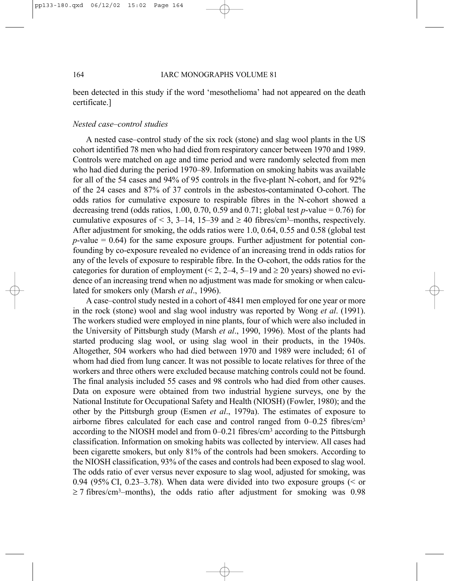been detected in this study if the word 'mesothelioma' had not appeared on the death certificate.]

## *Nested case–control studies*

A nested case–control study of the six rock (stone) and slag wool plants in the US cohort identified 78 men who had died from respiratory cancer between 1970 and 1989. Controls were matched on age and time period and were randomly selected from men who had died during the period 1970–89. Information on smoking habits was available for all of the 54 cases and 94% of 95 controls in the five-plant N-cohort, and for 92% of the 24 cases and 87% of 37 controls in the asbestos-contaminated O-cohort. The odds ratios for cumulative exposure to respirable fibres in the N-cohort showed a decreasing trend (odds ratios,  $1.00, 0.70, 0.59$  and  $0.71$ ; global test  $p$ -value = 0.76) for cumulative exposures of < 3, 3–14, 15–39 and  $\geq$  40 fibres/cm<sup>3</sup>–months, respectively. After adjustment for smoking, the odds ratios were 1.0, 0.64, 0.55 and 0.58 (global test  $p$ -value  $= 0.64$ ) for the same exposure groups. Further adjustment for potential confounding by co-exposure revealed no evidence of an increasing trend in odds ratios for any of the levels of exposure to respirable fibre. In the O-cohort, the odds ratios for the categories for duration of employment (< 2, 2–4, 5–19 and  $\geq$  20 years) showed no evidence of an increasing trend when no adjustment was made for smoking or when calculated for smokers only (Marsh *et al*., 1996).

A case–control study nested in a cohort of 4841 men employed for one year or more in the rock (stone) wool and slag wool industry was reported by Wong *et al*. (1991). The workers studied were employed in nine plants, four of which were also included in the University of Pittsburgh study (Marsh *et al*., 1990, 1996). Most of the plants had started producing slag wool, or using slag wool in their products, in the 1940s. Altogether, 504 workers who had died between 1970 and 1989 were included; 61 of whom had died from lung cancer. It was not possible to locate relatives for three of the workers and three others were excluded because matching controls could not be found. The final analysis included 55 cases and 98 controls who had died from other causes. Data on exposure were obtained from two industrial hygiene surveys, one by the National Institute for Occupational Safety and Health (NIOSH) (Fowler, 1980); and the other by the Pittsburgh group (Esmen *et al*., 1979a). The estimates of exposure to airborne fibres calculated for each case and control ranged from 0–0.25 fibres/cm3 according to the NIOSH model and from 0–0.21 fibres/cm3 according to the Pittsburgh classification. Information on smoking habits was collected by interview. All cases had been cigarette smokers, but only 81% of the controls had been smokers. According to the NIOSH classification, 93% of the cases and controls had been exposed to slag wool. The odds ratio of ever versus never exposure to slag wool, adjusted for smoking, was 0.94 (95% CI, 0.23–3.78). When data were divided into two exposure groups ( $\leq$  or  $\geq$  7 fibres/cm<sup>3</sup>–months), the odds ratio after adjustment for smoking was 0.98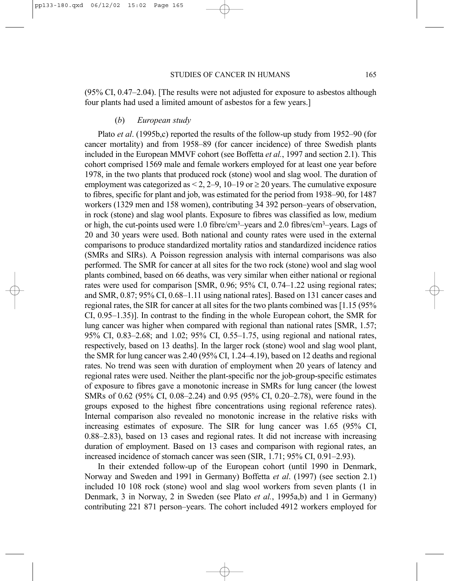(95% CI, 0.47–2.04). [The results were not adjusted for exposure to asbestos although four plants had used a limited amount of asbestos for a few years.]

### (*b*) *European study*

Plato *et al*. (1995b,c) reported the results of the follow-up study from 1952–90 (for cancer mortality) and from 1958–89 (for cancer incidence) of three Swedish plants included in the European MMVF cohort (see Boffetta *et al.*, 1997 and section 2.1). This cohort comprised 1569 male and female workers employed for at least one year before 1978, in the two plants that produced rock (stone) wool and slag wool. The duration of employment was categorized as  $\leq 2$ , 2–9, 10–19 or  $\geq 20$  years. The cumulative exposure to fibres, specific for plant and job, was estimated for the period from 1938–90, for 1487 workers (1329 men and 158 women), contributing 34 392 person–years of observation, in rock (stone) and slag wool plants. Exposure to fibres was classified as low, medium or high, the cut-points used were 1.0 fibre/cm3–years and 2.0 fibres/cm3–years. Lags of 20 and 30 years were used. Both national and county rates were used in the external comparisons to produce standardized mortality ratios and standardized incidence ratios (SMRs and SIRs). A Poisson regression analysis with internal comparisons was also performed. The SMR for cancer at all sites for the two rock (stone) wool and slag wool plants combined, based on 66 deaths, was very similar when either national or regional rates were used for comparison [SMR, 0.96; 95% CI, 0.74–1.22 using regional rates; and SMR, 0.87; 95% CI, 0.68–1.11 using national rates]. Based on 131 cancer cases and regional rates, the SIR for cancer at all sites for the two plants combined was [1.15 (95% CI, 0.95–1.35)]. In contrast to the finding in the whole European cohort, the SMR for lung cancer was higher when compared with regional than national rates [SMR, 1.57; 95% CI, 0.83–2.68; and 1.02; 95% CI, 0.55–1.75, using regional and national rates, respectively, based on 13 deaths]. In the larger rock (stone) wool and slag wool plant, the SMR for lung cancer was 2.40 (95% CI, 1.24–4.19), based on 12 deaths and regional rates. No trend was seen with duration of employment when 20 years of latency and regional rates were used. Neither the plant-specific nor the job-group-specific estimates of exposure to fibres gave a monotonic increase in SMRs for lung cancer (the lowest SMRs of 0.62 (95% CI, 0.08–2.24) and 0.95 (95% CI, 0.20–2.78), were found in the groups exposed to the highest fibre concentrations using regional reference rates). Internal comparison also revealed no monotonic increase in the relative risks with increasing estimates of exposure. The SIR for lung cancer was 1.65 (95% CI, 0.88–2.83), based on 13 cases and regional rates. It did not increase with increasing duration of employment. Based on 13 cases and comparison with regional rates, an increased incidence of stomach cancer was seen (SIR, 1.71; 95% CI, 0.91–2.93).

In their extended follow-up of the European cohort (until 1990 in Denmark, Norway and Sweden and 1991 in Germany) Boffetta *et al*. (1997) (see section 2.1) included 10 108 rock (stone) wool and slag wool workers from seven plants (1 in Denmark, 3 in Norway, 2 in Sweden (see Plato *et al.*, 1995a,b) and 1 in Germany) contributing 221 871 person–years. The cohort included 4912 workers employed for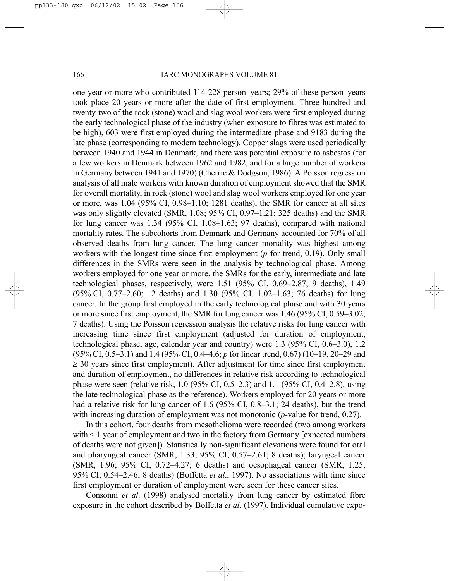one year or more who contributed 114 228 person–years; 29% of these person–years took place 20 years or more after the date of first employment. Three hundred and twenty-two of the rock (stone) wool and slag wool workers were first employed during the early technological phase of the industry (when exposure to fibres was estimated to be high), 603 were first employed during the intermediate phase and 9183 during the late phase (corresponding to modern technology). Copper slags were used periodically between 1940 and 1944 in Denmark, and there was potential exposure to asbestos (for a few workers in Denmark between 1962 and 1982, and for a large number of workers in Germany between 1941 and 1970) (Cherrie & Dodgson, 1986). A Poisson regression analysis of all male workers with known duration of employment showed that the SMR for overall mortality, in rock (stone) wool and slag wool workers employed for one year or more, was 1.04 (95% CI, 0.98–1.10; 1281 deaths), the SMR for cancer at all sites was only slightly elevated (SMR, 1.08; 95% CI, 0.97–1.21; 325 deaths) and the SMR for lung cancer was 1.34 (95% CI, 1.08–1.63; 97 deaths), compared with national mortality rates. The subcohorts from Denmark and Germany accounted for 70% of all observed deaths from lung cancer. The lung cancer mortality was highest among workers with the longest time since first employment (*p* for trend, 0.19). Only small differences in the SMRs were seen in the analysis by technological phase. Among workers employed for one year or more, the SMRs for the early, intermediate and late technological phases, respectively, were 1.51 (95% CI, 0.69–2.87; 9 deaths), 1.49 (95% CI, 0.77–2.60; 12 deaths) and 1.30 (95% CI, 1.02–1.63; 76 deaths) for lung cancer. In the group first employed in the early technological phase and with 30 years or more since first employment, the SMR for lung cancer was 1.46 (95% CI, 0.59–3.02; 7 deaths). Using the Poisson regression analysis the relative risks for lung cancer with increasing time since first employment (adjusted for duration of employment, technological phase, age, calendar year and country) were 1.3 (95% CI, 0.6–3.0), 1.2 (95% CI, 0.5–3.1) and 1.4 (95% CI, 0.4–4.6; *p* for linear trend, 0.67) (10–19, 20–29 and  $\geq$  30 years since first employment). After adjustment for time since first employment and duration of employment, no differences in relative risk according to technological phase were seen (relative risk, 1.0 (95% CI, 0.5–2.3) and 1.1 (95% CI, 0.4–2.8), using the late technological phase as the reference). Workers employed for 20 years or more had a relative risk for lung cancer of 1.6 (95% CI, 0.8–3.1; 24 deaths), but the trend with increasing duration of employment was not monotonic (*p*-value for trend, 0.27).

In this cohort, four deaths from mesothelioma were recorded (two among workers with < 1 year of employment and two in the factory from Germany [expected numbers of deaths were not given]). Statistically non-significant elevations were found for oral and pharyngeal cancer (SMR, 1.33; 95% CI, 0.57–2.61; 8 deaths); laryngeal cancer (SMR, 1.96; 95% CI, 0.72–4.27; 6 deaths) and oesophageal cancer (SMR, 1.25; 95% CI, 0.54–2.46; 8 deaths) (Boffetta *et al*., 1997). No associations with time since first employment or duration of employment were seen for these cancer sites.

Consonni *et al*. (1998) analysed mortality from lung cancer by estimated fibre exposure in the cohort described by Boffetta *et al*. (1997). Individual cumulative expo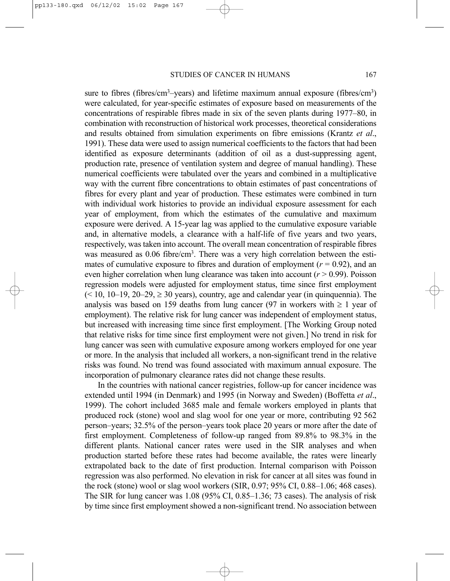sure to fibres (fibres/cm<sup>3</sup>–years) and lifetime maximum annual exposure (fibres/cm<sup>3</sup>) were calculated, for year-specific estimates of exposure based on measurements of the concentrations of respirable fibres made in six of the seven plants during 1977–80, in combination with reconstruction of historical work processes, theoretical considerations and results obtained from simulation experiments on fibre emissions (Krantz *et al*., 1991). These data were used to assign numerical coefficients to the factors that had been identified as exposure determinants (addition of oil as a dust-suppressing agent, production rate, presence of ventilation system and degree of manual handling). These numerical coefficients were tabulated over the years and combined in a multiplicative way with the current fibre concentrations to obtain estimates of past concentrations of fibres for every plant and year of production. These estimates were combined in turn with individual work histories to provide an individual exposure assessment for each year of employment, from which the estimates of the cumulative and maximum exposure were derived. A 15-year lag was applied to the cumulative exposure variable and, in alternative models, a clearance with a half-life of five years and two years, respectively, was taken into account. The overall mean concentration of respirable fibres was measured as 0.06 fibre/cm<sup>3</sup>. There was a very high correlation between the estimates of cumulative exposure to fibres and duration of employment  $(r = 0.92)$ , and an even higher correlation when lung clearance was taken into account  $(r > 0.99)$ . Poisson regression models were adjusted for employment status, time since first employment  $(< 10, 10-19, 20-29, \geq 30$  years), country, age and calendar year (in quinquennia). The analysis was based on 159 deaths from lung cancer (97 in workers with  $\geq 1$  year of employment). The relative risk for lung cancer was independent of employment status, but increased with increasing time since first employment. [The Working Group noted that relative risks for time since first employment were not given.] No trend in risk for lung cancer was seen with cumulative exposure among workers employed for one year or more. In the analysis that included all workers, a non-significant trend in the relative risks was found. No trend was found associated with maximum annual exposure. The incorporation of pulmonary clearance rates did not change these results.

In the countries with national cancer registries, follow-up for cancer incidence was extended until 1994 (in Denmark) and 1995 (in Norway and Sweden) (Boffetta *et al*., 1999). The cohort included 3685 male and female workers employed in plants that produced rock (stone) wool and slag wool for one year or more, contributing 92 562 person–years; 32.5% of the person–years took place 20 years or more after the date of first employment. Completeness of follow-up ranged from 89.8% to 98.3% in the different plants. National cancer rates were used in the SIR analyses and when production started before these rates had become available, the rates were linearly extrapolated back to the date of first production. Internal comparison with Poisson regression was also performed. No elevation in risk for cancer at all sites was found in the rock (stone) wool or slag wool workers (SIR, 0.97; 95% CI, 0.88–1.06; 468 cases). The SIR for lung cancer was 1.08 (95% CI, 0.85–1.36; 73 cases). The analysis of risk by time since first employment showed a non-significant trend. No association between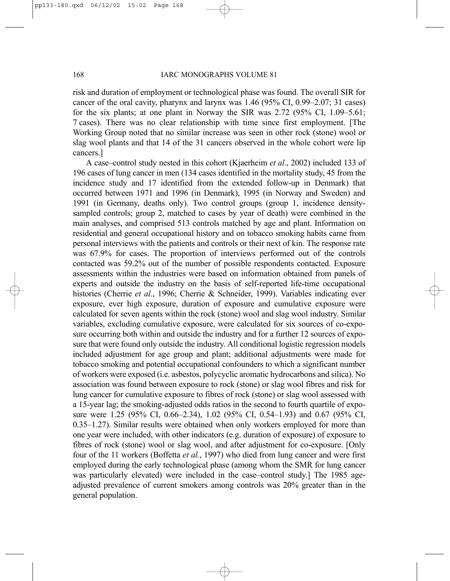risk and duration of employment or technological phase was found. The overall SIR for cancer of the oral cavity, pharynx and larynx was 1.46 (95% CI, 0.99–2.07; 31 cases) for the six plants; at one plant in Norway the SIR was 2.72 (95% CI, 1.09–5.61; 7 cases). There was no clear relationship with time since first employment. [The Working Group noted that no similar increase was seen in other rock (stone) wool or slag wool plants and that 14 of the 31 cancers observed in the whole cohort were lip cancers.]

A case–control study nested in this cohort (Kjaerheim *et al*., 2002) included 133 of 196 cases of lung cancer in men (134 cases identified in the mortality study, 45 from the incidence study and 17 identified from the extended follow-up in Denmark) that occurred between 1971 and 1996 (in Denmark), 1995 (in Norway and Sweden) and 1991 (in Germany, deaths only). Two control groups (group 1, incidence densitysampled controls; group 2, matched to cases by year of death) were combined in the main analyses, and comprised 513 controls matched by age and plant. Information on residential and general occupational history and on tobacco smoking habits came from personal interviews with the patients and controls or their next of kin. The response rate was 67.9% for cases. The proportion of interviews performed out of the controls contacted was 59.2% out of the number of possible respondents contacted. Exposure assessments within the industries were based on information obtained from panels of experts and outside the industry on the basis of self-reported life-time occupational histories (Cherrie *et al*., 1996; Cherrie & Schneider, 1999). Variables indicating ever exposure, ever high exposure, duration of exposure and cumulative exposure were calculated for seven agents within the rock (stone) wool and slag wool industry. Similar variables, excluding cumulative exposure, were calculated for six sources of co-exposure occurring both within and outside the industry and for a further 12 sources of exposure that were found only outside the industry. All conditional logistic regression models included adjustment for age group and plant; additional adjustments were made for tobacco smoking and potential occupational confounders to which a significant number of workers were exposed (i.e. asbestos, polycyclic aromatic hydrocarbons and silica). No association was found between exposure to rock (stone) or slag wool fibres and risk for lung cancer for cumulative exposure to fibres of rock (stone) or slag wool assessed with a 15-year lag; the smoking-adjusted odds ratios in the second to fourth quartile of exposure were 1.25 (95% CI, 0.66–2.34), 1.02 (95% CI, 0.54–1.93) and 0.67 (95% CI, 0.35–1.27). Similar results were obtained when only workers employed for more than one year were included, with other indicators (e.g. duration of exposure) of exposure to fibres of rock (stone) wool or slag wool, and after adjustment for co-exposure. [Only four of the 11 workers (Boffetta *et al.*, 1997) who died from lung cancer and were first employed during the early technological phase (among whom the SMR for lung cancer was particularly elevated) were included in the case–control study.] The 1985 ageadjusted prevalence of current smokers among controls was 20% greater than in the general population.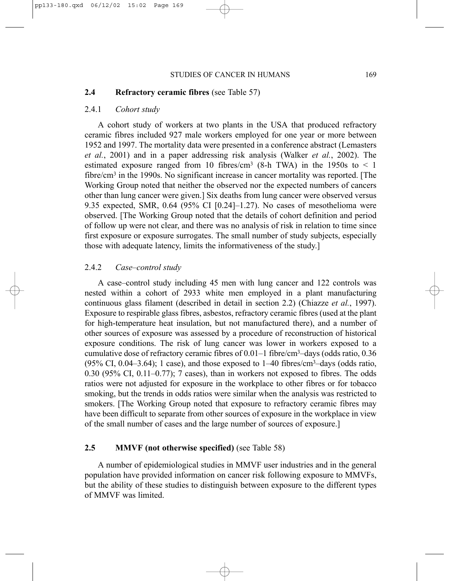## **2.4 Refractory ceramic fibres** (see Table 57)

## 2.4.1 *Cohort study*

A cohort study of workers at two plants in the USA that produced refractory ceramic fibres included 927 male workers employed for one year or more between 1952 and 1997. The mortality data were presented in a conference abstract (Lemasters *et al.*, 2001) and in a paper addressing risk analysis (Walker *et al.*, 2002). The estimated exposure ranged from 10 fibres/cm<sup>3</sup> (8-h TWA) in the 1950s to  $\leq$  1 fibre/cm<sup>3</sup> in the 1990s. No significant increase in cancer mortality was reported. [The Working Group noted that neither the observed nor the expected numbers of cancers other than lung cancer were given.] Six deaths from lung cancer were observed versus 9.35 expected, SMR,  $0.64$  (95% CI [0.24]–1.27). No cases of mesothelioma were observed. [The Working Group noted that the details of cohort definition and period of follow up were not clear, and there was no analysis of risk in relation to time since first exposure or exposure surrogates. The small number of study subjects, especially those with adequate latency, limits the informativeness of the study.]

# 2.4.2 *Case–control study*

A case–control study including 45 men with lung cancer and 122 controls was nested within a cohort of 2933 white men employed in a plant manufacturing continuous glass filament (described in detail in section 2.2) (Chiazze *et al.*, 1997). Exposure to respirable glass fibres, asbestos, refractory ceramic fibres (used at the plant for high-temperature heat insulation, but not manufactured there), and a number of other sources of exposure was assessed by a procedure of reconstruction of historical exposure conditions. The risk of lung cancer was lower in workers exposed to a cumulative dose of refractory ceramic fibres of  $0.01-1$  fibre/cm<sup>3</sup>-days (odds ratio, 0.36)  $(95\% \text{ CI}, 0.04-3.64)$ ; 1 case), and those exposed to  $1-40$  fibres/cm<sup>3</sup>-days (odds ratio, 0.30 (95% CI, 0.11–0.77); 7 cases), than in workers not exposed to fibres. The odds ratios were not adjusted for exposure in the workplace to other fibres or for tobacco smoking, but the trends in odds ratios were similar when the analysis was restricted to smokers. [The Working Group noted that exposure to refractory ceramic fibres may have been difficult to separate from other sources of exposure in the workplace in view of the small number of cases and the large number of sources of exposure.]

# **2.5 MMVF (not otherwise specified)** (see Table 58)

A number of epidemiological studies in MMVF user industries and in the general population have provided information on cancer risk following exposure to MMVFs, but the ability of these studies to distinguish between exposure to the different types of MMVF was limited.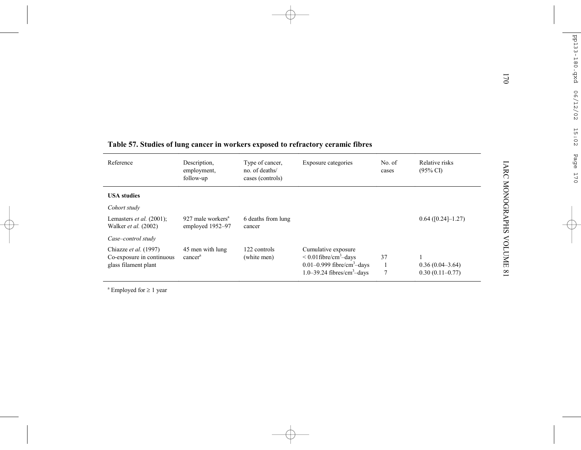|                                                                            |                                                   |                                                       | Table 57. Studies of lung cancer in workers exposed to refractory ceramic fibres                                                                        |                 |                                          | 170                               |
|----------------------------------------------------------------------------|---------------------------------------------------|-------------------------------------------------------|---------------------------------------------------------------------------------------------------------------------------------------------------------|-----------------|------------------------------------------|-----------------------------------|
| Reference                                                                  | Description,<br>employment,<br>follow-up          | Type of cancer,<br>no. of deaths/<br>cases (controls) | Exposure categories                                                                                                                                     | No. of<br>cases | Relative risks<br>$(95\% \text{ CI})$    | <b>LARC MONOGRAPHS</b>            |
| <b>USA</b> studies                                                         |                                                   |                                                       |                                                                                                                                                         |                 |                                          |                                   |
| Cohort study                                                               |                                                   |                                                       |                                                                                                                                                         |                 |                                          |                                   |
| Lemasters <i>et al.</i> $(2001)$ ;<br>Walker et al. (2002)                 | 927 male workers <sup>a</sup><br>employed 1952-97 | 6 deaths from lung<br>cancer                          |                                                                                                                                                         |                 | $0.64$ ([0.24]-1.27)                     |                                   |
| Case-control study                                                         |                                                   |                                                       |                                                                                                                                                         |                 |                                          |                                   |
| Chiazze et al. (1997)<br>Co-exposure in continuous<br>glass filament plant | 45 men with lung<br>cancer <sup>a</sup>           | 122 controls<br>(white men)                           | Cumulative exposure<br>$< 0.01$ fibre/cm <sup>3</sup> -days<br>$0.01 - 0.999$ fibre/cm <sup>3</sup> -days<br>$1.0 - 39.24$ fibres/cm <sup>3</sup> -days | 37              | $0.36(0.04-3.64)$<br>$0.30(0.11 - 0.77)$ | <b>ANDIONE</b><br>$\overline{18}$ |

<sup>a</sup> Employed for  $\geq 1$  year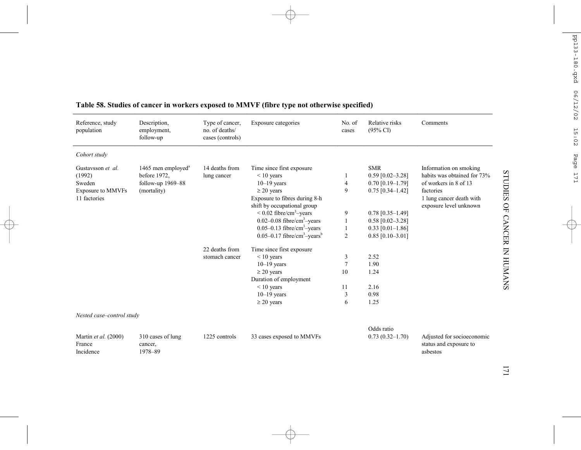| Reference, study<br>population                                                    | Description,<br>employment,<br>follow-up                                  | Type of cancer.<br>no. of deaths/<br>cases (controls) | Exposure categories                                                                                                                                                                                                                                                                                                                              | No. of<br>cases                         | Relative risks<br>$(95\% \text{ CI})$                                                                                                                                | Comments                                                                                                                                          |
|-----------------------------------------------------------------------------------|---------------------------------------------------------------------------|-------------------------------------------------------|--------------------------------------------------------------------------------------------------------------------------------------------------------------------------------------------------------------------------------------------------------------------------------------------------------------------------------------------------|-----------------------------------------|----------------------------------------------------------------------------------------------------------------------------------------------------------------------|---------------------------------------------------------------------------------------------------------------------------------------------------|
| Cohort study                                                                      |                                                                           |                                                       |                                                                                                                                                                                                                                                                                                                                                  |                                         |                                                                                                                                                                      |                                                                                                                                                   |
| Gustavsson et al.<br>(1992)<br>Sweden<br><b>Exposure to MMVFs</b><br>11 factories | 1465 men employed $a$<br>before 1972.<br>follow-up 1969-88<br>(mortality) | 14 deaths from<br>lung cancer                         | Time since first exposure<br>$< 10$ years<br>$10-19$ years<br>$\geq$ 20 years<br>Exposure to fibres during 8-h<br>shift by occupational group<br>$\leq$ 0.02 fibre/cm <sup>3</sup> -years<br>$0.02 - 0.08$ fibre/cm <sup>3</sup> -years<br>$0.05 - 0.13$ fibre/cm <sup>3</sup> -years<br>$0.05 - 0.17$ fibre/cm <sup>3</sup> -years <sup>b</sup> | 1<br>4<br>9<br>9<br>1<br>$\overline{c}$ | <b>SMR</b><br>$0.59$ [0.02-3.28]<br>$0.70$ [0.19-1.79]<br>$0.75$ [0.34-1.42]<br>$0.78$ [0.35-1.49]<br>$0.58$ [0.02-3.28]<br>$0.33$ [0.01-1.86]<br>$0.85$ [0.10-3.01] | Information on smoking<br>habits was obtained for 73%<br>of workers in 8 of 13<br>factories<br>1 lung cancer death with<br>exposure level unknown |
|                                                                                   |                                                                           | 22 deaths from<br>stomach cancer                      | Time since first exposure<br>$< 10$ years<br>$10-19$ years<br>$\geq$ 20 years<br>Duration of employment<br>$< 10$ years<br>$10-19$ years<br>$\geq$ 20 years                                                                                                                                                                                      | 3<br>7<br>10<br>11<br>3<br>6            | 2.52<br>1.90<br>1.24<br>2.16<br>0.98<br>1.25                                                                                                                         |                                                                                                                                                   |
| Nested case-control study<br>Martin et al. (2000)<br>France<br>Incidence          | 310 cases of lung<br>cancer,<br>1978-89                                   | 1225 controls                                         | 33 cases exposed to MMVFs                                                                                                                                                                                                                                                                                                                        |                                         | Odds ratio<br>$0.73(0.32 - 1.70)$                                                                                                                                    | Adjusted for socioeconomic<br>status and exposure to<br>asbestos                                                                                  |

# **Table 58. Studies of cancer in workers exposed to MMVF (fibre type not otherwise specified)**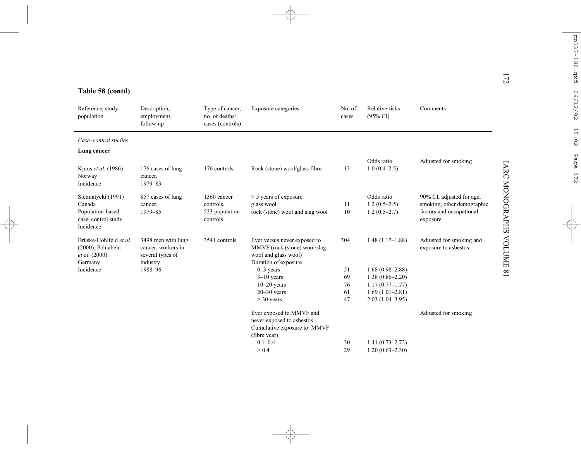| Reference, study<br>population                                                      | Description,<br>employment,<br>follow-up                                 | Type of cancer,<br>no. of deaths/<br>cases (controls)  | Exposure categories                                                                                          | No. of<br>cases | Relative risks<br>$(95\% \text{ CI})$          | Comments                                                                                        |
|-------------------------------------------------------------------------------------|--------------------------------------------------------------------------|--------------------------------------------------------|--------------------------------------------------------------------------------------------------------------|-----------------|------------------------------------------------|-------------------------------------------------------------------------------------------------|
| Case-control studies                                                                |                                                                          |                                                        |                                                                                                              |                 |                                                |                                                                                                 |
| Lung cancer                                                                         |                                                                          |                                                        |                                                                                                              |                 |                                                |                                                                                                 |
| Kjuus et al. (1986)<br>Norway<br>Incidence                                          | 176 cases of lung<br>cancer,<br>1979-83                                  | 176 controls                                           | Rock (stone) wool/glass fibre                                                                                | 13              | Odds ratio<br>$1.0(0.4-2.5)$                   | Adjusted for smoking                                                                            |
| Siemiatycki (1991)<br>Canada<br>Population-based<br>case-control study<br>Incidence | 857 cases of lung<br>cancer,<br>1979-85                                  | 1360 cancer<br>controls,<br>533 population<br>controls | > 5 years of exposure<br>glass wool<br>rock (stone) wool and slag wool                                       | 11<br>10        | Odds ratio<br>$1.2(0.5-2.5)$<br>$1.2(0.5-2.7)$ | 90% CI, adjusted for age,<br>smoking, other demographic<br>factors and occupational<br>exposure |
| Brüske-Hohlfeld et al.<br>$(2000)$ ; Pohlabeln<br>et al. (2000)<br>Germany          | 3498 men with lung<br>cancer, workers in<br>several types of<br>industry | 3541 controls                                          | Ever versus never exposed to<br>MMVF (rock (stone) wool/slag<br>wool and glass wool)<br>Duration of exposure | 304             | $1.48(1.17-1.88)$                              | Adjusted for smoking and<br>exposure to asbestos                                                |
| Incidence                                                                           | 1988-96                                                                  |                                                        | $0-3$ years                                                                                                  | 51              | $1.68(0.98 - 2.88)$                            |                                                                                                 |
|                                                                                     |                                                                          |                                                        | $3-10$ years                                                                                                 | 69              | $1.38(0.86 - 2.20)$                            |                                                                                                 |
|                                                                                     |                                                                          |                                                        | $10-20$ years                                                                                                | 76              | $1.17(0.77 - 1.77)$                            |                                                                                                 |
|                                                                                     |                                                                          |                                                        | $20 - 30$ years                                                                                              | 61              | $1.69(1.01-2.81)$                              |                                                                                                 |
|                                                                                     |                                                                          |                                                        | $\geq$ 30 years                                                                                              | 47              | $2.03(1.04 - 3.95)$                            |                                                                                                 |
|                                                                                     |                                                                          |                                                        | Ever exposed to MMVF and<br>never exposed to asbestos<br>Cumulative exposure to MMVF<br>(fibre year)         |                 |                                                | Adjusted for smoking                                                                            |
|                                                                                     |                                                                          |                                                        | $0.1 - 0.4$                                                                                                  | 30              | $1.41(0.73 - 2.72)$                            |                                                                                                 |
|                                                                                     |                                                                          |                                                        | > 0.4                                                                                                        | 29              | $1.20(0.63 - 2.30)$                            |                                                                                                 |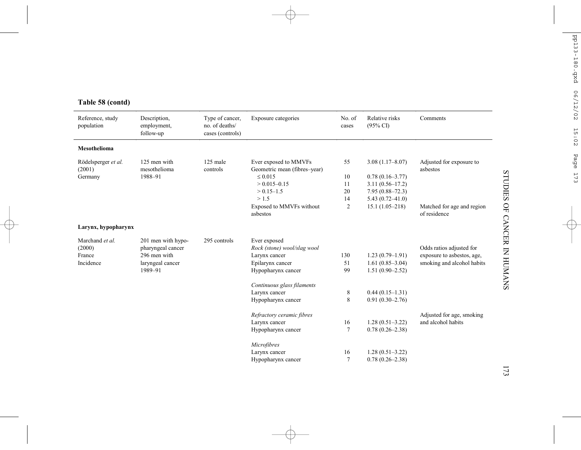| Table 58 (contd) |  |
|------------------|--|
|------------------|--|

| Reference, study<br>population | Description,<br>employment,<br>follow-up | Type of cancer,<br>no. of deaths/<br>cases (controls) | Exposure categories                                   | No. of<br>cases | Relative risks<br>$(95\% \text{ CI})$ | Comments                                   |
|--------------------------------|------------------------------------------|-------------------------------------------------------|-------------------------------------------------------|-----------------|---------------------------------------|--------------------------------------------|
| <b>Mesothelioma</b>            |                                          |                                                       |                                                       |                 |                                       |                                            |
| Rödelsperger et al.<br>(2001)  | 125 men with<br>mesothelioma             | 125 male<br>controls                                  | Ever exposed to MMVFs<br>Geometric mean (fibres-year) | 55              | $3.08(1.17 - 8.07)$                   | Adjusted for exposure to<br>asbestos       |
| Germany                        | 1988-91                                  |                                                       | $\leq 0.015$                                          | 10              | $0.78(0.16-3.77)$                     |                                            |
|                                |                                          |                                                       | $> 0.015 - 0.15$                                      | 11              | $3.11(0.56 - 17.2)$                   |                                            |
|                                |                                          |                                                       | $> 0.15 - 1.5$                                        | 20              | $7.95(0.88 - 72.3)$                   |                                            |
|                                |                                          |                                                       | >1.5                                                  | 14              | $5.43(0.72 - 41.0)$                   |                                            |
|                                |                                          |                                                       | Exposed to MMVFs without<br>asbestos                  | $\overline{2}$  | $15.1(1.05-218)$                      | Matched for age and region<br>of residence |
| Larynx, hypopharynx            |                                          |                                                       |                                                       |                 |                                       |                                            |
| Marchand et al.                | 201 men with hypo-                       | 295 controls                                          | Ever exposed                                          |                 |                                       |                                            |
| (2000)                         | pharyngeal cancer                        |                                                       | Rock (stone) wool/slag wool                           |                 |                                       | Odds ratios adjusted for                   |
| France                         | 296 men with                             |                                                       | Larynx cancer                                         | 130             | $1.23(0.79-1.91)$                     | exposure to asbestos, age,                 |
| Incidence                      | laryngeal cancer                         |                                                       | Epilarynx cancer                                      | 51              | $1.61(0.85-3.04)$                     | smoking and alcohol habits                 |
|                                | 1989-91                                  |                                                       | Hypopharynx cancer                                    | 99              | $1.51(0.90 - 2.52)$                   |                                            |
|                                |                                          |                                                       | Continuous glass filaments                            |                 |                                       |                                            |
|                                |                                          |                                                       | Larynx cancer                                         | 8               | $0.44(0.15-1.31)$                     |                                            |
|                                |                                          |                                                       | Hypopharynx cancer                                    | 8               | $0.91(0.30-2.76)$                     |                                            |
|                                |                                          |                                                       | Refractory ceramic fibres                             |                 |                                       | Adjusted for age, smoking                  |
|                                |                                          |                                                       | Larynx cancer                                         | 16              | $1.28(0.51-3.22)$                     | and alcohol habits                         |
|                                |                                          |                                                       | Hypopharynx cancer                                    | $\tau$          | $0.78(0.26 - 2.38)$                   |                                            |
|                                |                                          |                                                       | Microfibres                                           |                 |                                       |                                            |
|                                |                                          |                                                       | Larynx cancer                                         | 16              | $1.28(0.51-3.22)$                     |                                            |
|                                |                                          |                                                       | Hypopharynx cancer                                    | $\tau$          | $0.78(0.26 - 2.38)$                   |                                            |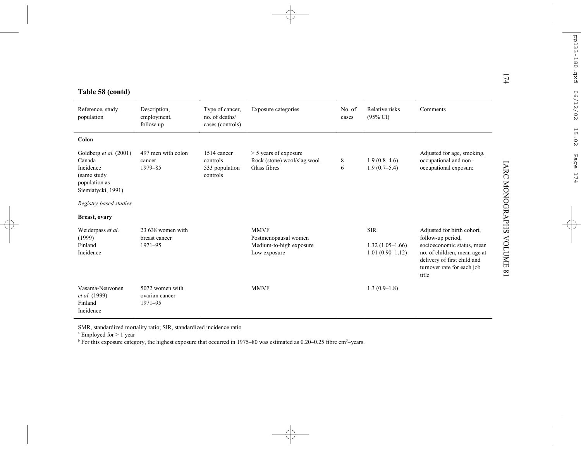|  |  |  | Table 58 (contd) |  |
|--|--|--|------------------|--|
|--|--|--|------------------|--|

|                                                                                                      |                                               |                                                       |                                                                                |                 |                                                      | 174                                                                                                                                                                                                                     |
|------------------------------------------------------------------------------------------------------|-----------------------------------------------|-------------------------------------------------------|--------------------------------------------------------------------------------|-----------------|------------------------------------------------------|-------------------------------------------------------------------------------------------------------------------------------------------------------------------------------------------------------------------------|
| Table 58 (contd)<br>Reference, study<br>population                                                   | Description,<br>employment,<br>follow-up      | Type of cancer.<br>no. of deaths/<br>cases (controls) | Exposure categories                                                            | No. of<br>cases | Relative risks<br>$(95\% \text{ CI})$                | Comments                                                                                                                                                                                                                |
| Colon                                                                                                |                                               |                                                       |                                                                                |                 |                                                      |                                                                                                                                                                                                                         |
| Goldberg et al. (2001)<br>Canada<br>Incidence<br>(same study)<br>population as<br>Siemiatycki, 1991) | 497 men with colon<br>cancer<br>1979-85       | 1514 cancer<br>controls<br>533 population<br>controls | $>$ 5 years of exposure<br>Rock (stone) wool/slag wool<br>Glass fibres         | 8<br>6          | $1.9(0.8-4.6)$<br>$1.9(0.7-5.4)$                     | Adjusted for age, smoking,<br>occupational and non-<br><b>IARC MONOGRAPHS</b><br>occupational exposure                                                                                                                  |
| Registry-based studies                                                                               |                                               |                                                       |                                                                                |                 |                                                      |                                                                                                                                                                                                                         |
| <b>Breast, ovary</b>                                                                                 |                                               |                                                       |                                                                                |                 |                                                      |                                                                                                                                                                                                                         |
| Weiderpass et al.<br>(1999)<br>Finland<br>Incidence                                                  | 23 638 women with<br>breast cancer<br>1971-95 |                                                       | <b>MMVF</b><br>Postmenopausal women<br>Medium-to-high exposure<br>Low exposure |                 | <b>SIR</b><br>$1.32(1.05-1.66)$<br>$1.01(0.90-1.12)$ | Adjusted for birth cohort,<br>follow-up period,<br><b>NOLUME</b><br>socioeconomic status, mean<br>no. of children, mean age at<br>delivery of first child and<br>turnover rate for each job<br>$\overline{18}$<br>title |
| Vasama-Neuvonen<br>et al. (1999)<br>Finland<br>Incidence                                             | 5072 women with<br>ovarian cancer<br>1971-95  |                                                       | <b>MMVF</b>                                                                    |                 | $1.3(0.9-1.8)$                                       |                                                                                                                                                                                                                         |

SMR, standardized mortality ratio; SIR, standardized incidence ratio

 $^{\text{a}}$  Employed for > 1 year<br><sup>b</sup> For this exposure category, the highest exposure that occurred in 1975–80 was estimated as 0.20–0.25 fibre cm<sup>3</sup>–years.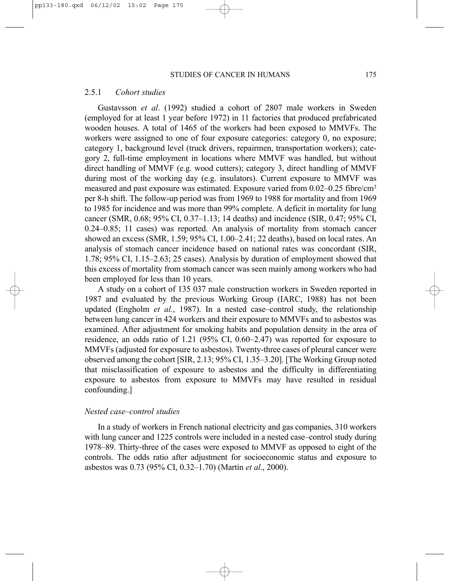# 2.5.1 *Cohort studies*

Gustavsson *et al*. (1992) studied a cohort of 2807 male workers in Sweden (employed for at least 1 year before 1972) in 11 factories that produced prefabricated wooden houses. A total of 1465 of the workers had been exposed to MMVFs. The workers were assigned to one of four exposure categories: category 0, no exposure; category 1, background level (truck drivers, repairmen, transportation workers); category 2, full-time employment in locations where MMVF was handled, but without direct handling of MMVF (e.g. wood cutters); category 3, direct handling of MMVF during most of the working day (e.g. insulators). Current exposure to MMVF was measured and past exposure was estimated. Exposure varied from 0.02–0.25 fibre/cm3 per 8-h shift. The follow-up period was from 1969 to 1988 for mortality and from 1969 to 1985 for incidence and was more than 99% complete. A deficit in mortality for lung cancer (SMR, 0.68; 95% CI, 0.37–1.13; 14 deaths) and incidence (SIR, 0.47; 95% CI, 0.24–0.85; 11 cases) was reported. An analysis of mortality from stomach cancer showed an excess (SMR, 1.59; 95% CI, 1.00–2.41; 22 deaths), based on local rates. An analysis of stomach cancer incidence based on national rates was concordant (SIR, 1.78; 95% CI, 1.15–2.63; 25 cases). Analysis by duration of employment showed that this excess of mortality from stomach cancer was seen mainly among workers who had been employed for less than 10 years.

A study on a cohort of 135 037 male construction workers in Sweden reported in 1987 and evaluated by the previous Working Group (IARC, 1988) has not been updated (Engholm *et al.*, 1987). In a nested case–control study, the relationship between lung cancer in 424 workers and their exposure to MMVFs and to asbestos was examined. After adjustment for smoking habits and population density in the area of residence, an odds ratio of 1.21 (95% CI, 0.60–2.47) was reported for exposure to MMVFs (adjusted for exposure to asbestos). Twenty-three cases of pleural cancer were observed among the cohort [SIR, 2.13; 95% CI, 1.35–3.20]. [The Working Group noted that misclassification of exposure to asbestos and the difficulty in differentiating exposure to asbestos from exposure to MMVFs may have resulted in residual confounding.]

# *Nested case–control studies*

In a study of workers in French national electricity and gas companies, 310 workers with lung cancer and 1225 controls were included in a nested case–control study during 1978–89. Thirty-three of the cases were exposed to MMVF as opposed to eight of the controls. The odds ratio after adjustment for socioeconomic status and exposure to asbestos was 0.73 (95% CI, 0.32–1.70) (Martin *et al*., 2000).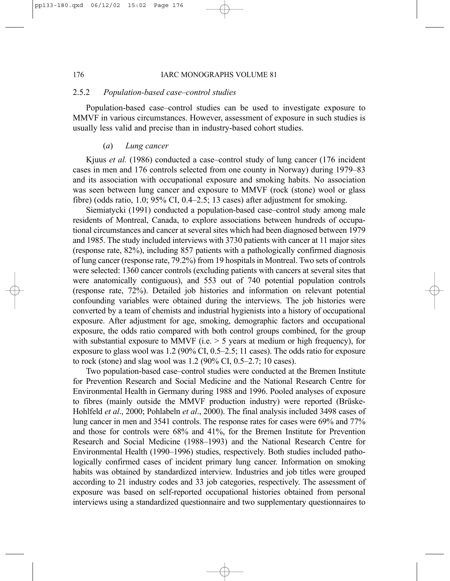### 176 IARC MONOGRAPHS VOLUME 81

### 2.5.2 *Population-based case–control studies*

Population-based case–control studies can be used to investigate exposure to MMVF in various circumstances. However, assessment of exposure in such studies is usually less valid and precise than in industry-based cohort studies.

# (*a*) *Lung cancer*

Kjuus *et al.* (1986) conducted a case–control study of lung cancer (176 incident cases in men and 176 controls selected from one county in Norway) during 1979–83 and its association with occupational exposure and smoking habits. No association was seen between lung cancer and exposure to MMVF (rock (stone) wool or glass fibre) (odds ratio, 1.0;  $95\%$  CI, 0.4–2.5; 13 cases) after adjustment for smoking.

Siemiatycki (1991) conducted a population-based case–control study among male residents of Montreal, Canada, to explore associations between hundreds of occupational circumstances and cancer at several sites which had been diagnosed between 1979 and 1985. The study included interviews with 3730 patients with cancer at 11 major sites (response rate, 82%), including 857 patients with a pathologically confirmed diagnosis of lung cancer (response rate, 79.2%) from 19 hospitals in Montreal. Two sets of controls were selected: 1360 cancer controls (excluding patients with cancers at several sites that were anatomically contiguous), and 553 out of 740 potential population controls (response rate, 72%). Detailed job histories and information on relevant potential confounding variables were obtained during the interviews. The job histories were converted by a team of chemists and industrial hygienists into a history of occupational exposure. After adjustment for age, smoking, demographic factors and occupational exposure, the odds ratio compared with both control groups combined, for the group with substantial exposure to MMVF (i.e.  $> 5$  years at medium or high frequency), for exposure to glass wool was 1.2 (90% CI, 0.5–2.5; 11 cases). The odds ratio for exposure to rock (stone) and slag wool was 1.2 (90% CI, 0.5–2.7; 10 cases).

Two population-based case–control studies were conducted at the Bremen Institute for Prevention Research and Social Medicine and the National Research Centre for Environmental Health in Germany during 1988 and 1996. Pooled analyses of exposure to fibres (mainly outside the MMVF production industry) were reported (Brüske-Hohlfeld *et al*., 2000; Pohlabeln *et al*., 2000). The final analysis included 3498 cases of lung cancer in men and 3541 controls. The response rates for cases were 69% and 77% and those for controls were 68% and 41%, for the Bremen Institute for Prevention Research and Social Medicine (1988–1993) and the National Research Centre for Environmental Health (1990–1996) studies, respectively. Both studies included pathologically confirmed cases of incident primary lung cancer. Information on smoking habits was obtained by standardized interview. Industries and job titles were grouped according to 21 industry codes and 33 job categories, respectively. The assessment of exposure was based on self-reported occupational histories obtained from personal interviews using a standardized questionnaire and two supplementary questionnaires to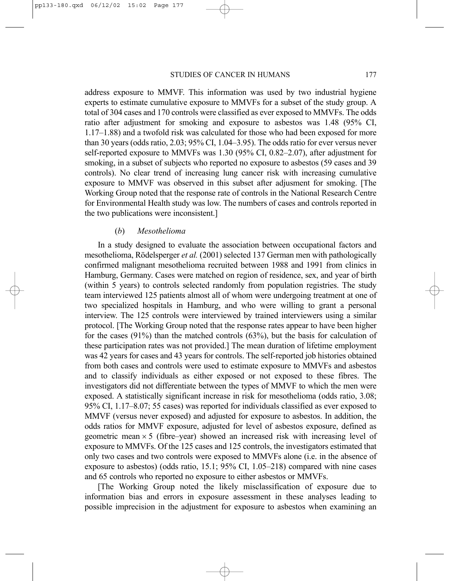address exposure to MMVF. This information was used by two industrial hygiene experts to estimate cumulative exposure to MMVFs for a subset of the study group. A total of 304 cases and 170 controls were classified as ever exposed to MMVFs. The odds ratio after adjustment for smoking and exposure to asbestos was 1.48 (95% CI, 1.17–1.88) and a twofold risk was calculated for those who had been exposed for more than 30 years (odds ratio, 2.03; 95% CI, 1.04–3.95). The odds ratio for ever versus never self-reported exposure to MMVFs was 1.30 (95% CI, 0.82–2.07), after adjustment for smoking, in a subset of subjects who reported no exposure to asbestos (59 cases and 39 controls). No clear trend of increasing lung cancer risk with increasing cumulative exposure to MMVF was observed in this subset after adjusment for smoking. [The Working Group noted that the response rate of controls in the National Research Centre for Environmental Health study was low. The numbers of cases and controls reported in the two publications were inconsistent.]

### (*b*) *Mesothelioma*

In a study designed to evaluate the association between occupational factors and mesothelioma, Rödelsperger *et al.* (2001) selected 137 German men with pathologically confirmed malignant mesothelioma recruited between 1988 and 1991 from clinics in Hamburg, Germany. Cases were matched on region of residence, sex, and year of birth (within 5 years) to controls selected randomly from population registries. The study team interviewed 125 patients almost all of whom were undergoing treatment at one of two specialized hospitals in Hamburg, and who were willing to grant a personal interview. The 125 controls were interviewed by trained interviewers using a similar protocol. [The Working Group noted that the response rates appear to have been higher for the cases  $(91%)$  than the matched controls  $(63%)$ , but the basis for calculation of these participation rates was not provided.] The mean duration of lifetime employment was 42 years for cases and 43 years for controls. The self-reported job histories obtained from both cases and controls were used to estimate exposure to MMVFs and asbestos and to classify individuals as either exposed or not exposed to these fibres. The investigators did not differentiate between the types of MMVF to which the men were exposed. A statistically significant increase in risk for mesothelioma (odds ratio, 3.08; 95% CI, 1.17–8.07; 55 cases) was reported for individuals classified as ever exposed to MMVF (versus never exposed) and adjusted for exposure to asbestos. In addition, the odds ratios for MMVF exposure, adjusted for level of asbestos exposure, defined as geometric mean  $\times$  5 (fibre–year) showed an increased risk with increasing level of exposure to MMVFs. Of the 125 cases and 125 controls, the investigators estimated that only two cases and two controls were exposed to MMVFs alone (i.e. in the absence of exposure to asbestos) (odds ratio, 15.1; 95% CI, 1.05–218) compared with nine cases and 65 controls who reported no exposure to either asbestos or MMVFs.

[The Working Group noted the likely misclassification of exposure due to information bias and errors in exposure assessment in these analyses leading to possible imprecision in the adjustment for exposure to asbestos when examining an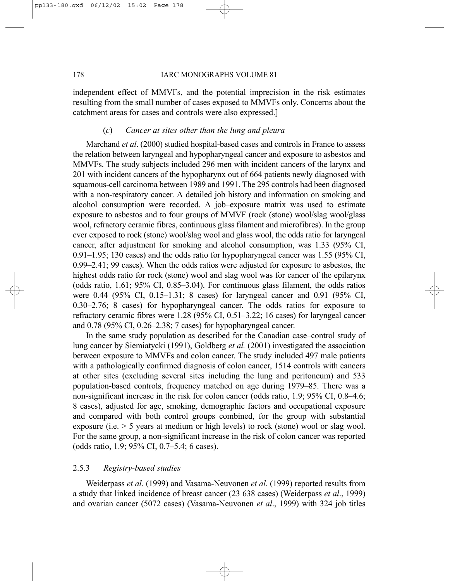independent effect of MMVFs, and the potential imprecision in the risk estimates resulting from the small number of cases exposed to MMVFs only. Concerns about the catchment areas for cases and controls were also expressed.]

# (*c*) *Cancer at sites other than the lung and pleura*

Marchand *et al*. (2000) studied hospital-based cases and controls in France to assess the relation between laryngeal and hypopharyngeal cancer and exposure to asbestos and MMVFs. The study subjects included 296 men with incident cancers of the larynx and 201 with incident cancers of the hypopharynx out of 664 patients newly diagnosed with squamous-cell carcinoma between 1989 and 1991. The 295 controls had been diagnosed with a non-respiratory cancer. A detailed job history and information on smoking and alcohol consumption were recorded. A job–exposure matrix was used to estimate exposure to asbestos and to four groups of MMVF (rock (stone) wool/slag wool/glass wool, refractory ceramic fibres, continuous glass filament and microfibres). In the group ever exposed to rock (stone) wool/slag wool and glass wool, the odds ratio for laryngeal cancer, after adjustment for smoking and alcohol consumption, was 1.33 (95% CI, 0.91–1.95; 130 cases) and the odds ratio for hypopharyngeal cancer was 1.55 (95% CI, 0.99–2.41; 99 cases). When the odds ratios were adjusted for exposure to asbestos, the highest odds ratio for rock (stone) wool and slag wool was for cancer of the epilarynx (odds ratio, 1.61; 95% CI, 0.85–3.04). For continuous glass filament, the odds ratios were 0.44 (95% CI, 0.15–1.31; 8 cases) for laryngeal cancer and 0.91 (95% CI, 0.30–2.76; 8 cases) for hypopharyngeal cancer. The odds ratios for exposure to refractory ceramic fibres were 1.28 (95% CI, 0.51–3.22; 16 cases) for laryngeal cancer and 0.78 (95% CI, 0.26–2.38; 7 cases) for hypopharyngeal cancer.

In the same study population as described for the Canadian case–control study of lung cancer by Siemiatycki (1991), Goldberg *et al.* (2001) investigated the association between exposure to MMVFs and colon cancer. The study included 497 male patients with a pathologically confirmed diagnosis of colon cancer, 1514 controls with cancers at other sites (excluding several sites including the lung and peritoneum) and 533 population-based controls, frequency matched on age during 1979–85. There was a non-significant increase in the risk for colon cancer (odds ratio, 1.9; 95% CI, 0.8–4.6; 8 cases), adjusted for age, smoking, demographic factors and occupational exposure and compared with both control groups combined, for the group with substantial exposure (i.e.  $> 5$  years at medium or high levels) to rock (stone) wool or slag wool. For the same group, a non-significant increase in the risk of colon cancer was reported (odds ratio, 1.9; 95% CI, 0.7–5.4; 6 cases).

# 2.5.3 *Registry-based studies*

Weiderpass *et al.* (1999) and Vasama-Neuvonen *et al.* (1999) reported results from a study that linked incidence of breast cancer (23 638 cases) (Weiderpass *et al*., 1999) and ovarian cancer (5072 cases) (Vasama-Neuvonen *et al*., 1999) with 324 job titles